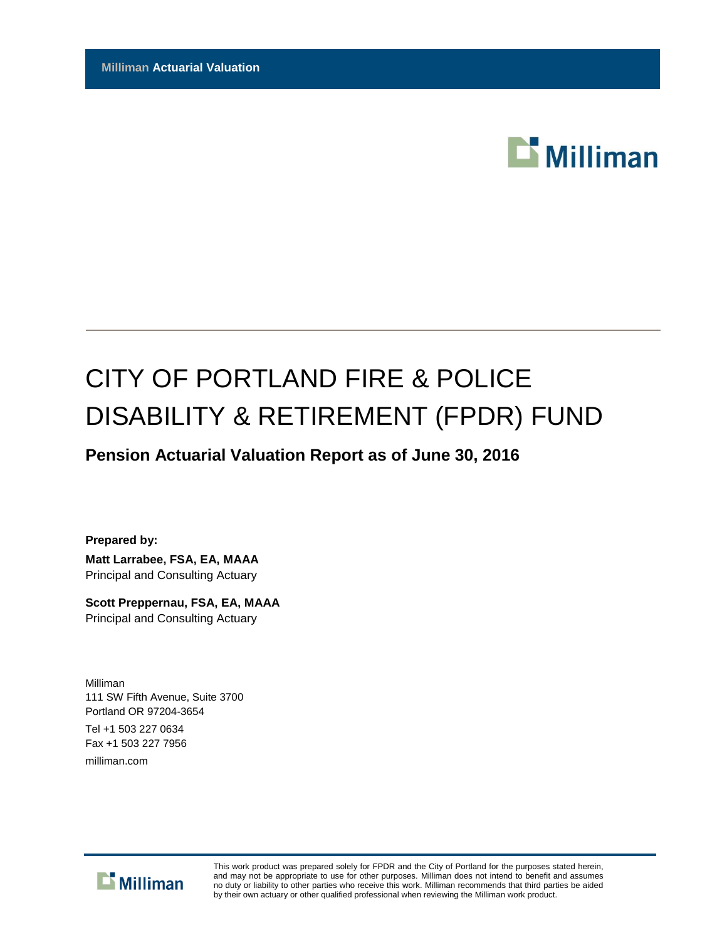

# CITY OF PORTLAND FIRE & POLICE DISABILITY & RETIREMENT (FPDR) FUND

**Pension Actuarial Valuation Report as of June 30, 2016**

**Prepared by: Matt Larrabee, FSA, EA, MAAA** Principal and Consulting Actuary

**Scott Preppernau, FSA, EA, MAAA** Principal and Consulting Actuary

Milliman 111 SW Fifth Avenue, Suite 3700 Portland OR 97204-3654

Tel +1 503 227 0634 Fax +1 503 227 7956 milliman.com

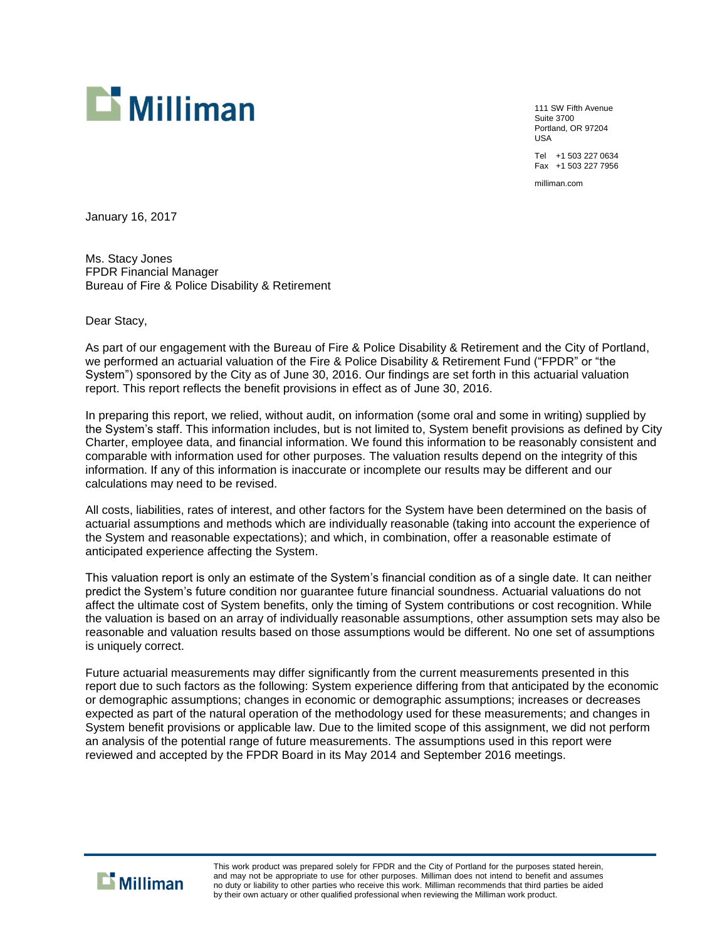

111 SW Fifth Avenue Suite 3700 Portland, OR 97204 USA Tel +1 503 227 0634 Fax +1 503 227 7956

milliman.com

January 16, 2017

Ms. Stacy Jones FPDR Financial Manager Bureau of Fire & Police Disability & Retirement

Dear Stacy,

As part of our engagement with the Bureau of Fire & Police Disability & Retirement and the City of Portland, we performed an actuarial valuation of the Fire & Police Disability & Retirement Fund ("FPDR" or "the System") sponsored by the City as of June 30, 2016. Our findings are set forth in this actuarial valuation report. This report reflects the benefit provisions in effect as of June 30, 2016.

In preparing this report, we relied, without audit, on information (some oral and some in writing) supplied by the System's staff. This information includes, but is not limited to, System benefit provisions as defined by City Charter, employee data, and financial information. We found this information to be reasonably consistent and comparable with information used for other purposes. The valuation results depend on the integrity of this information. If any of this information is inaccurate or incomplete our results may be different and our calculations may need to be revised.

All costs, liabilities, rates of interest, and other factors for the System have been determined on the basis of actuarial assumptions and methods which are individually reasonable (taking into account the experience of the System and reasonable expectations); and which, in combination, offer a reasonable estimate of anticipated experience affecting the System.

This valuation report is only an estimate of the System's financial condition as of a single date. It can neither predict the System's future condition nor guarantee future financial soundness. Actuarial valuations do not affect the ultimate cost of System benefits, only the timing of System contributions or cost recognition. While the valuation is based on an array of individually reasonable assumptions, other assumption sets may also be reasonable and valuation results based on those assumptions would be different. No one set of assumptions is uniquely correct.

Future actuarial measurements may differ significantly from the current measurements presented in this report due to such factors as the following: System experience differing from that anticipated by the economic or demographic assumptions; changes in economic or demographic assumptions; increases or decreases expected as part of the natural operation of the methodology used for these measurements; and changes in System benefit provisions or applicable law. Due to the limited scope of this assignment, we did not perform an analysis of the potential range of future measurements. The assumptions used in this report were reviewed and accepted by the FPDR Board in its May 2014 and September 2016 meetings.

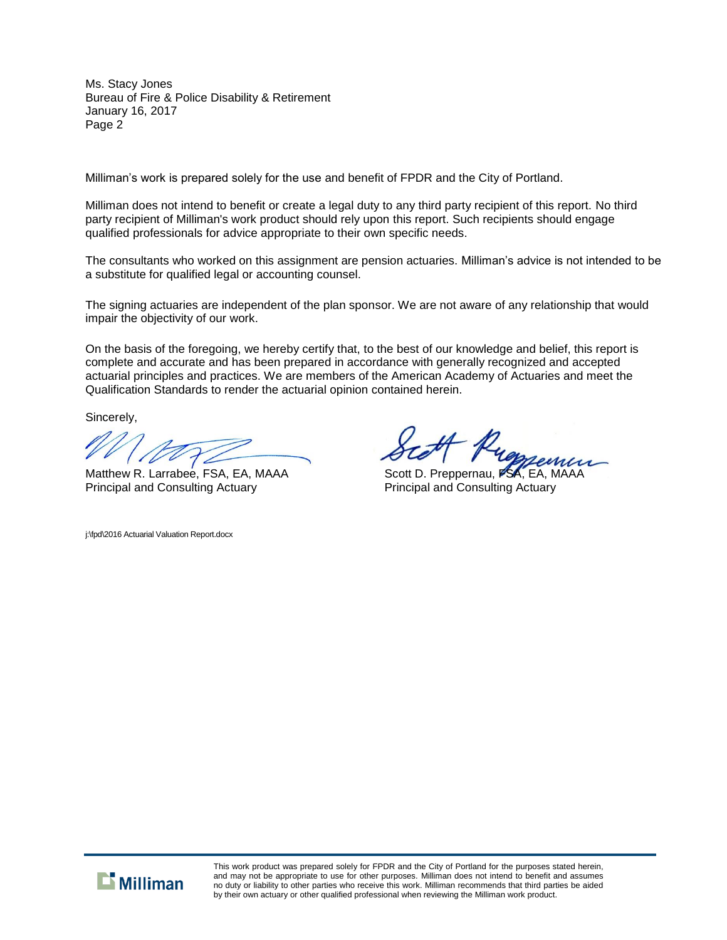Ms. Stacy Jones Bureau of Fire & Police Disability & Retirement January 16, 2017 Page 2

Milliman's work is prepared solely for the use and benefit of FPDR and the City of Portland.

Milliman does not intend to benefit or create a legal duty to any third party recipient of this report. No third party recipient of Milliman's work product should rely upon this report. Such recipients should engage qualified professionals for advice appropriate to their own specific needs.

The consultants who worked on this assignment are pension actuaries. Milliman's advice is not intended to be a substitute for qualified legal or accounting counsel.

The signing actuaries are independent of the plan sponsor. We are not aware of any relationship that would impair the objectivity of our work.

On the basis of the foregoing, we hereby certify that, to the best of our knowledge and belief, this report is complete and accurate and has been prepared in accordance with generally recognized and accepted actuarial principles and practices. We are members of the American Academy of Actuaries and meet the Qualification Standards to render the actuarial opinion contained herein.

Sincerely,

Principal and Consulting Actuary **Principal and Consulting Actuary** Principal and Consulting Actuary

Matthew R. Larrabee, FSA, EA, MAAA Scott D. Preppernau, FSA, EA, MAAA

j:\fpd\2016 Actuarial Valuation Report.docx

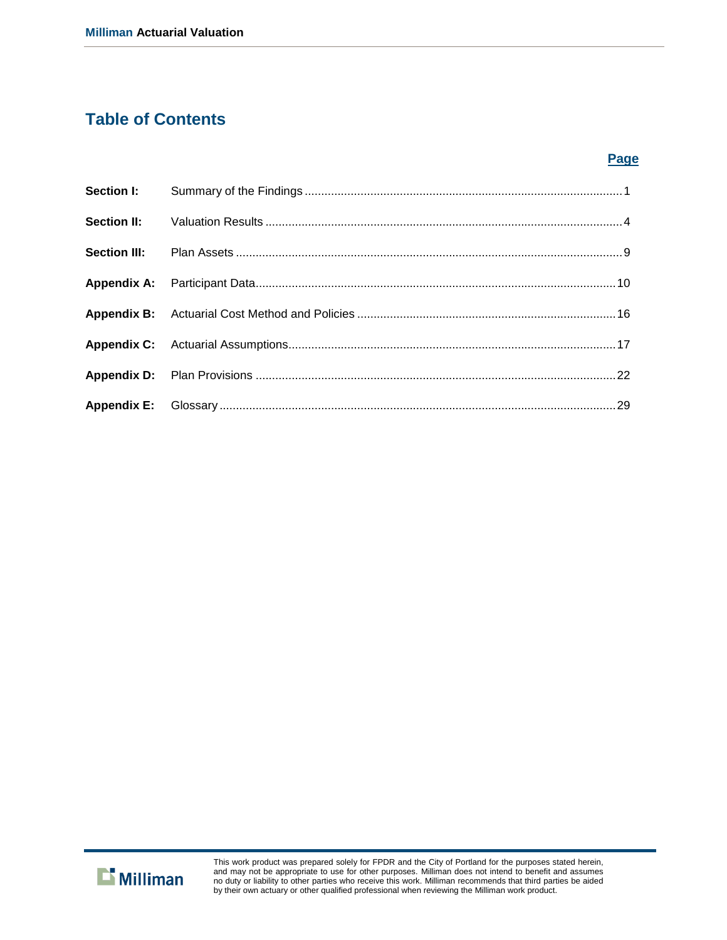# **Table of Contents**

#### **Page**

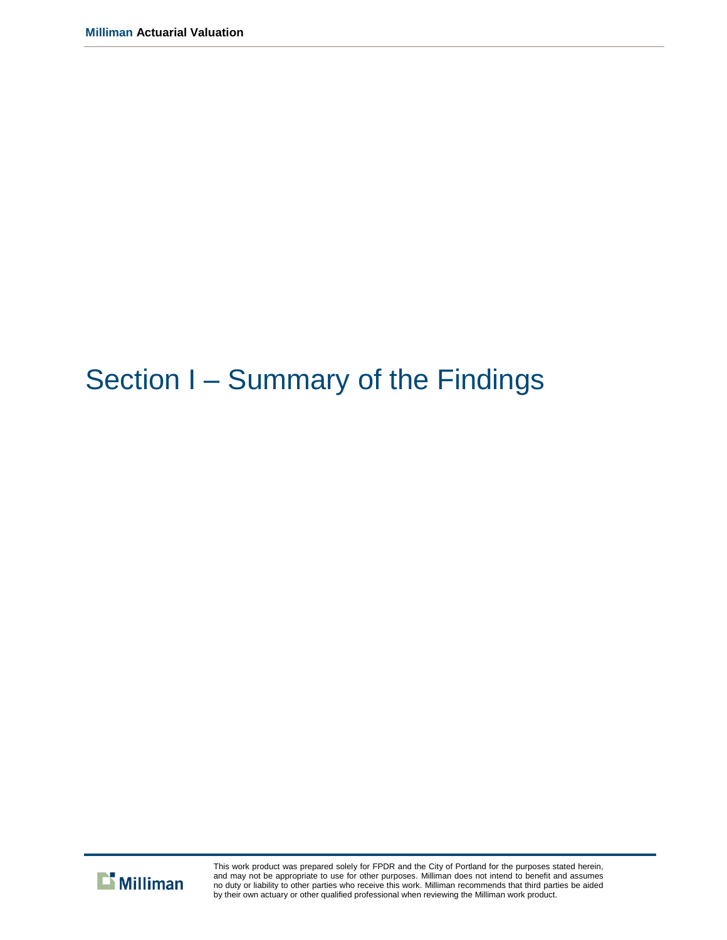# Section I – Summary of the Findings

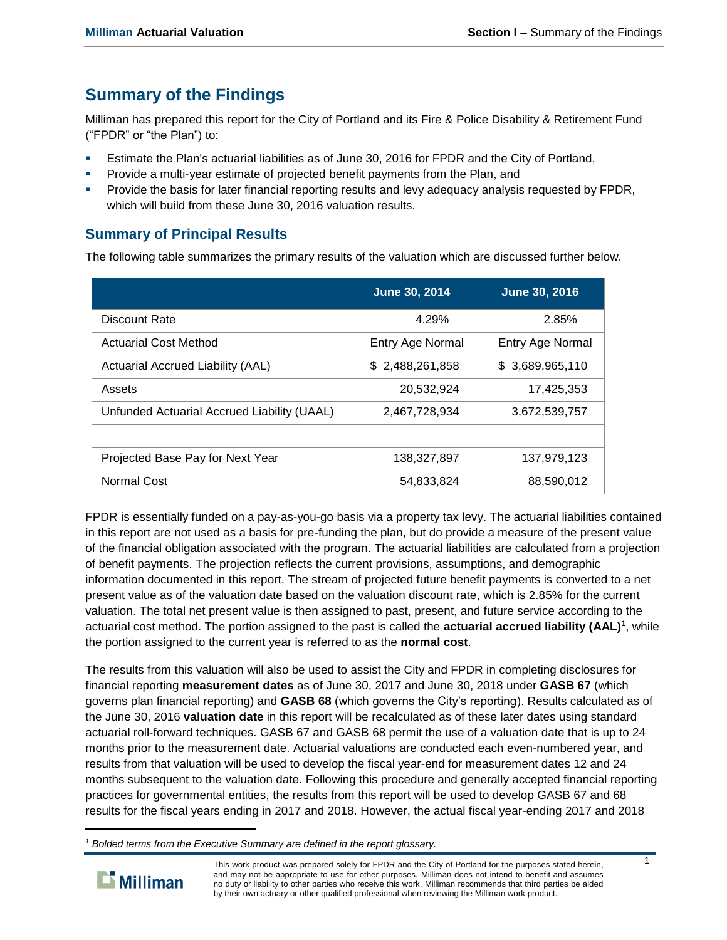# <span id="page-5-0"></span>**Summary of the Findings**

Milliman has prepared this report for the City of Portland and its Fire & Police Disability & Retirement Fund ("FPDR" or "the Plan") to:

- Estimate the Plan's actuarial liabilities as of June 30, 2016 for FPDR and the City of Portland,
- Provide a multi-year estimate of projected benefit payments from the Plan, and
- Provide the basis for later financial reporting results and levy adequacy analysis requested by FPDR, which will build from these June 30, 2016 valuation results.

## **Summary of Principal Results**

The following table summarizes the primary results of the valuation which are discussed further below.

|                                             | June 30, 2014           | <b>June 30, 2016</b>    |
|---------------------------------------------|-------------------------|-------------------------|
| Discount Rate                               | 4.29%                   | 2.85%                   |
| <b>Actuarial Cost Method</b>                | <b>Entry Age Normal</b> | <b>Entry Age Normal</b> |
| Actuarial Accrued Liability (AAL)           | 2,488,261,858<br>SS.    | \$ 3,689,965,110        |
| Assets                                      | 20,532,924              | 17,425,353              |
| Unfunded Actuarial Accrued Liability (UAAL) | 2,467,728,934           | 3,672,539,757           |
|                                             |                         |                         |
| Projected Base Pay for Next Year            | 138,327,897             | 137,979,123             |
| Normal Cost                                 | 54,833,824              | 88,590,012              |

FPDR is essentially funded on a pay-as-you-go basis via a property tax levy. The actuarial liabilities contained in this report are not used as a basis for pre-funding the plan, but do provide a measure of the present value of the financial obligation associated with the program. The actuarial liabilities are calculated from a projection of benefit payments. The projection reflects the current provisions, assumptions, and demographic information documented in this report. The stream of projected future benefit payments is converted to a net present value as of the valuation date based on the valuation discount rate, which is 2.85% for the current valuation. The total net present value is then assigned to past, present, and future service according to the actuarial cost method. The portion assigned to the past is called the **actuarial accrued liability (AAL)<sup>1</sup>** , while the portion assigned to the current year is referred to as the **normal cost**.

The results from this valuation will also be used to assist the City and FPDR in completing disclosures for financial reporting **measurement dates** as of June 30, 2017 and June 30, 2018 under **GASB 67** (which governs plan financial reporting) and **GASB 68** (which governs the City's reporting). Results calculated as of the June 30, 2016 **valuation date** in this report will be recalculated as of these later dates using standard actuarial roll-forward techniques. GASB 67 and GASB 68 permit the use of a valuation date that is up to 24 months prior to the measurement date. Actuarial valuations are conducted each even-numbered year, and results from that valuation will be used to develop the fiscal year-end for measurement dates 12 and 24 months subsequent to the valuation date. Following this procedure and generally accepted financial reporting practices for governmental entities, the results from this report will be used to develop GASB 67 and 68 results for the fiscal years ending in 2017 and 2018. However, the actual fiscal year-ending 2017 and 2018

*<sup>1</sup> Bolded terms from the Executive Summary are defined in the report glossary.*



 $\overline{a}$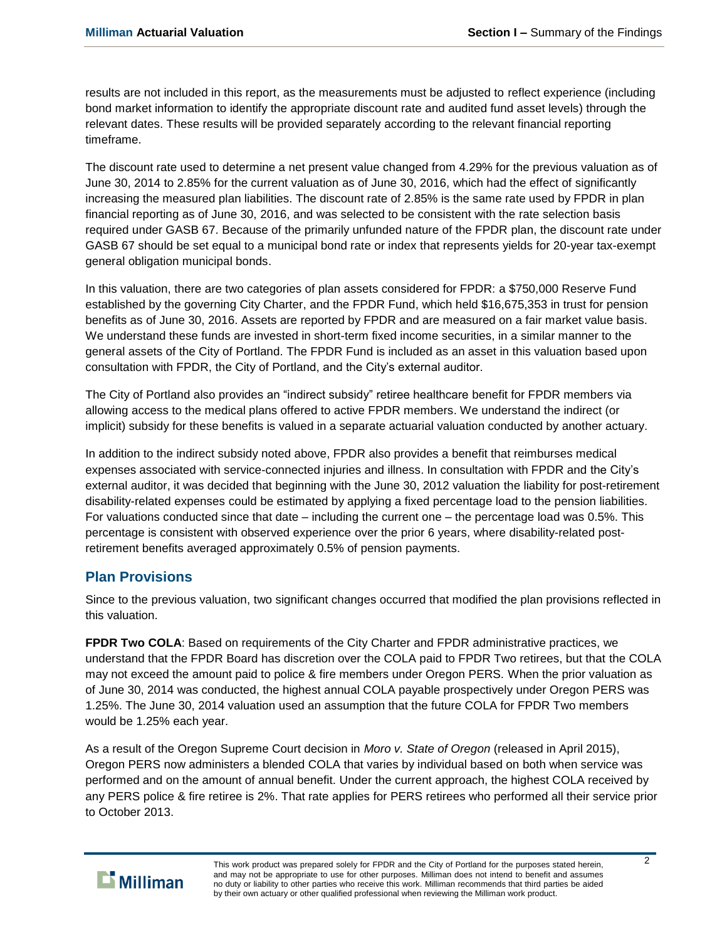results are not included in this report, as the measurements must be adjusted to reflect experience (including bond market information to identify the appropriate discount rate and audited fund asset levels) through the relevant dates. These results will be provided separately according to the relevant financial reporting timeframe.

The discount rate used to determine a net present value changed from 4.29% for the previous valuation as of June 30, 2014 to 2.85% for the current valuation as of June 30, 2016, which had the effect of significantly increasing the measured plan liabilities. The discount rate of 2.85% is the same rate used by FPDR in plan financial reporting as of June 30, 2016, and was selected to be consistent with the rate selection basis required under GASB 67. Because of the primarily unfunded nature of the FPDR plan, the discount rate under GASB 67 should be set equal to a municipal bond rate or index that represents yields for 20-year tax-exempt general obligation municipal bonds.

In this valuation, there are two categories of plan assets considered for FPDR: a \$750,000 Reserve Fund established by the governing City Charter, and the FPDR Fund, which held \$16,675,353 in trust for pension benefits as of June 30, 2016. Assets are reported by FPDR and are measured on a fair market value basis. We understand these funds are invested in short-term fixed income securities, in a similar manner to the general assets of the City of Portland. The FPDR Fund is included as an asset in this valuation based upon consultation with FPDR, the City of Portland, and the City's external auditor.

The City of Portland also provides an "indirect subsidy" retiree healthcare benefit for FPDR members via allowing access to the medical plans offered to active FPDR members. We understand the indirect (or implicit) subsidy for these benefits is valued in a separate actuarial valuation conducted by another actuary.

In addition to the indirect subsidy noted above, FPDR also provides a benefit that reimburses medical expenses associated with service-connected injuries and illness. In consultation with FPDR and the City's external auditor, it was decided that beginning with the June 30, 2012 valuation the liability for post-retirement disability-related expenses could be estimated by applying a fixed percentage load to the pension liabilities. For valuations conducted since that date – including the current one – the percentage load was 0.5%. This percentage is consistent with observed experience over the prior 6 years, where disability-related postretirement benefits averaged approximately 0.5% of pension payments.

## **Plan Provisions**

Since to the previous valuation, two significant changes occurred that modified the plan provisions reflected in this valuation.

**FPDR Two COLA**: Based on requirements of the City Charter and FPDR administrative practices, we understand that the FPDR Board has discretion over the COLA paid to FPDR Two retirees, but that the COLA may not exceed the amount paid to police & fire members under Oregon PERS. When the prior valuation as of June 30, 2014 was conducted, the highest annual COLA payable prospectively under Oregon PERS was 1.25%. The June 30, 2014 valuation used an assumption that the future COLA for FPDR Two members would be 1.25% each year.

As a result of the Oregon Supreme Court decision in *Moro v. State of Oregon* (released in April 2015), Oregon PERS now administers a blended COLA that varies by individual based on both when service was performed and on the amount of annual benefit. Under the current approach, the highest COLA received by any PERS police & fire retiree is 2%. That rate applies for PERS retirees who performed all their service prior to October 2013.

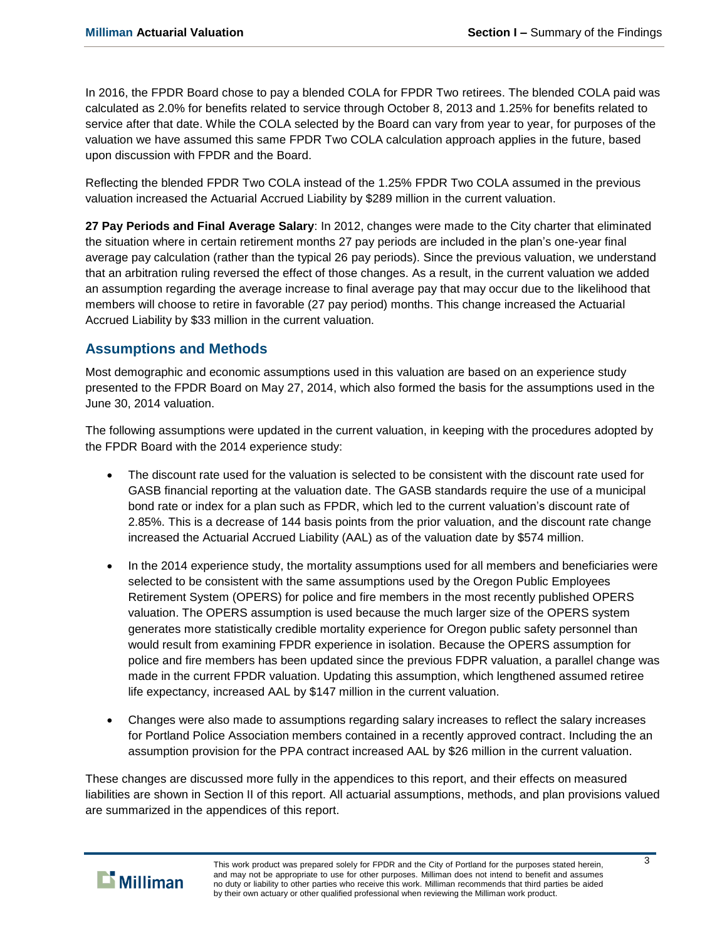In 2016, the FPDR Board chose to pay a blended COLA for FPDR Two retirees. The blended COLA paid was calculated as 2.0% for benefits related to service through October 8, 2013 and 1.25% for benefits related to service after that date. While the COLA selected by the Board can vary from year to year, for purposes of the valuation we have assumed this same FPDR Two COLA calculation approach applies in the future, based upon discussion with FPDR and the Board.

Reflecting the blended FPDR Two COLA instead of the 1.25% FPDR Two COLA assumed in the previous valuation increased the Actuarial Accrued Liability by \$289 million in the current valuation.

**27 Pay Periods and Final Average Salary**: In 2012, changes were made to the City charter that eliminated the situation where in certain retirement months 27 pay periods are included in the plan's one-year final average pay calculation (rather than the typical 26 pay periods). Since the previous valuation, we understand that an arbitration ruling reversed the effect of those changes. As a result, in the current valuation we added an assumption regarding the average increase to final average pay that may occur due to the likelihood that members will choose to retire in favorable (27 pay period) months. This change increased the Actuarial Accrued Liability by \$33 million in the current valuation.

# **Assumptions and Methods**

Most demographic and economic assumptions used in this valuation are based on an experience study presented to the FPDR Board on May 27, 2014, which also formed the basis for the assumptions used in the June 30, 2014 valuation.

The following assumptions were updated in the current valuation, in keeping with the procedures adopted by the FPDR Board with the 2014 experience study:

- The discount rate used for the valuation is selected to be consistent with the discount rate used for GASB financial reporting at the valuation date. The GASB standards require the use of a municipal bond rate or index for a plan such as FPDR, which led to the current valuation's discount rate of 2.85%. This is a decrease of 144 basis points from the prior valuation, and the discount rate change increased the Actuarial Accrued Liability (AAL) as of the valuation date by \$574 million.
- In the 2014 experience study, the mortality assumptions used for all members and beneficiaries were selected to be consistent with the same assumptions used by the Oregon Public Employees Retirement System (OPERS) for police and fire members in the most recently published OPERS valuation. The OPERS assumption is used because the much larger size of the OPERS system generates more statistically credible mortality experience for Oregon public safety personnel than would result from examining FPDR experience in isolation. Because the OPERS assumption for police and fire members has been updated since the previous FDPR valuation, a parallel change was made in the current FPDR valuation. Updating this assumption, which lengthened assumed retiree life expectancy, increased AAL by \$147 million in the current valuation.
- Changes were also made to assumptions regarding salary increases to reflect the salary increases for Portland Police Association members contained in a recently approved contract. Including the an assumption provision for the PPA contract increased AAL by \$26 million in the current valuation.

These changes are discussed more fully in the appendices to this report, and their effects on measured liabilities are shown in Section II of this report. All actuarial assumptions, methods, and plan provisions valued are summarized in the appendices of this report.

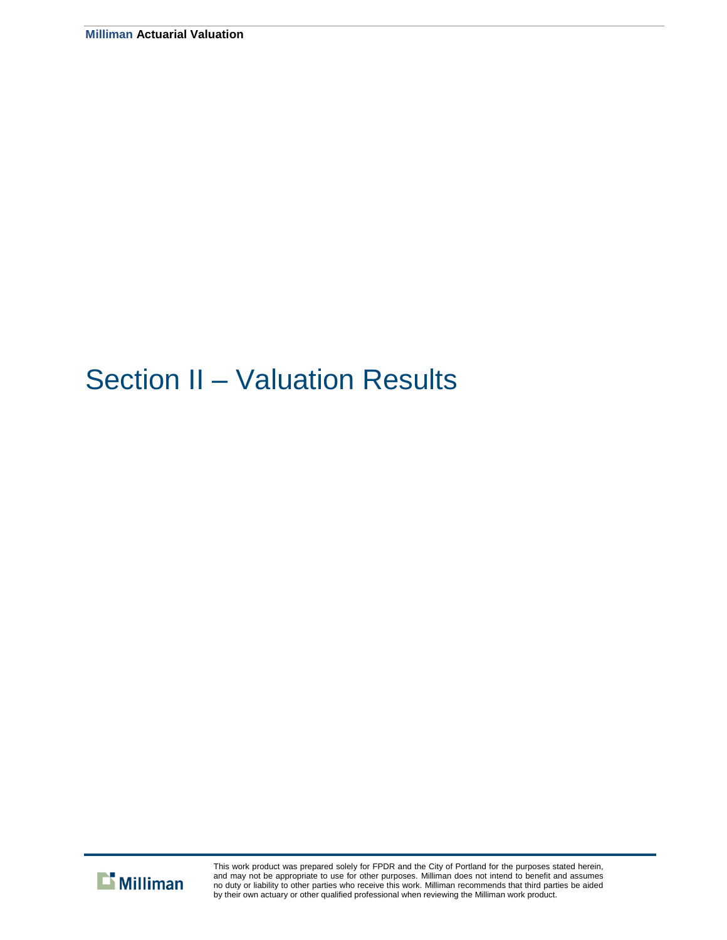# Section II – Valuation Results

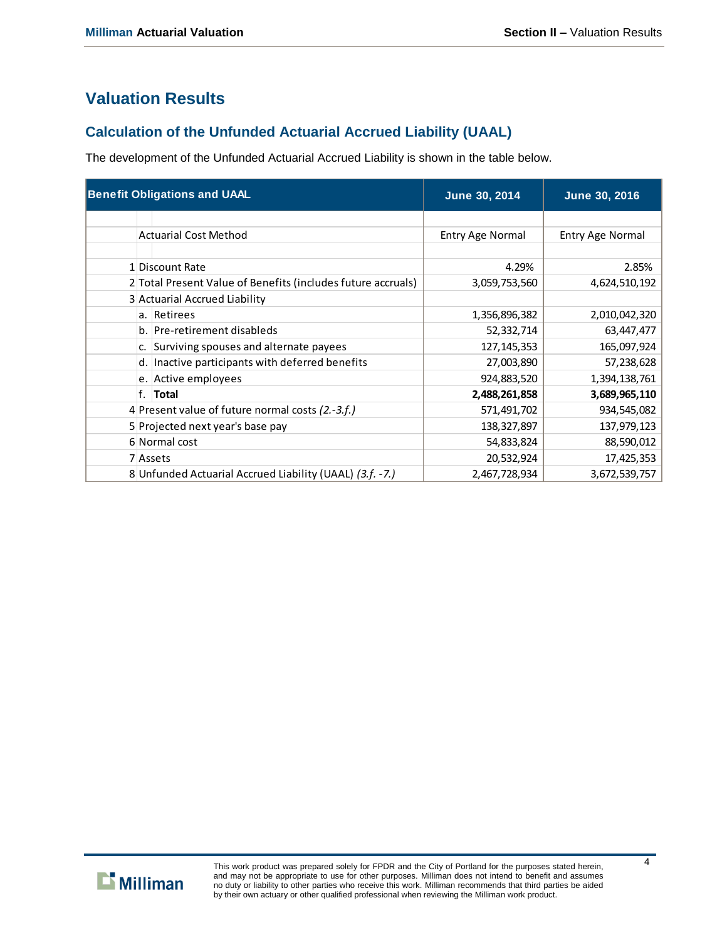# <span id="page-9-0"></span>**Valuation Results**

# **Calculation of the Unfunded Actuarial Accrued Liability (UAAL)**

The development of the Unfunded Actuarial Accrued Liability is shown in the table below.

|    | <b>Benefit Obligations and UAAL</b>                          | June 30, 2014           | June 30, 2016    |
|----|--------------------------------------------------------------|-------------------------|------------------|
|    |                                                              |                         |                  |
|    | <b>Actuarial Cost Method</b>                                 | <b>Entry Age Normal</b> | Entry Age Normal |
|    |                                                              |                         |                  |
|    | 1 Discount Rate                                              | 4.29%                   | 2.85%            |
|    | 2 Total Present Value of Benefits (includes future accruals) | 3,059,753,560           | 4,624,510,192    |
|    | 3 Actuarial Accrued Liability                                |                         |                  |
| a. | Retirees                                                     | 1,356,896,382           | 2,010,042,320    |
|    | b. Pre-retirement disableds                                  | 52,332,714              | 63,447,477       |
| c. | Surviving spouses and alternate payees                       | 127, 145, 353           | 165,097,924      |
| d. | Inactive participants with deferred benefits                 | 27,003,890              | 57,238,628       |
|    | e. Active employees                                          | 924,883,520             | 1,394,138,761    |
| f. | <b>Total</b>                                                 | 2,488,261,858           | 3,689,965,110    |
|    | 4 Present value of future normal costs (2.-3.f.)             | 571,491,702             | 934,545,082      |
|    | 5 Projected next year's base pay                             | 138, 327, 897           | 137,979,123      |
|    | 6 Normal cost                                                | 54,833,824              | 88,590,012       |
|    | 7 Assets                                                     | 20,532,924              | 17,425,353       |
|    | 8 Unfunded Actuarial Accrued Liability (UAAL) (3.f. -7.)     | 2,467,728,934           | 3,672,539,757    |

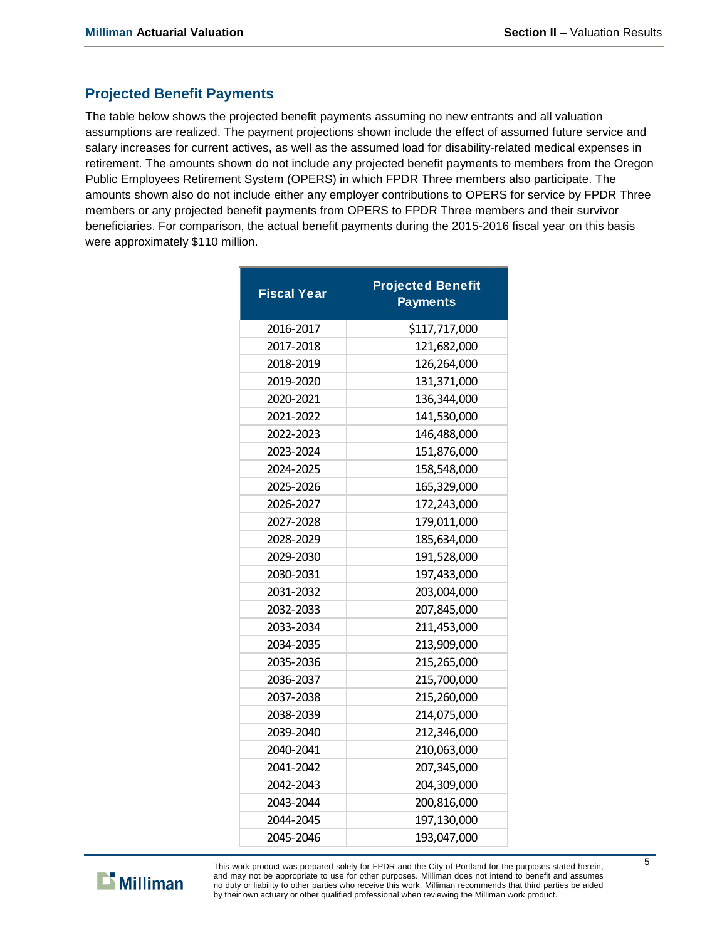## **Projected Benefit Payments**

The table below shows the projected benefit payments assuming no new entrants and all valuation assumptions are realized. The payment projections shown include the effect of assumed future service and salary increases for current actives, as well as the assumed load for disability-related medical expenses in retirement. The amounts shown do not include any projected benefit payments to members from the Oregon Public Employees Retirement System (OPERS) in which FPDR Three members also participate. The amounts shown also do not include either any employer contributions to OPERS for service by FPDR Three members or any projected benefit payments from OPERS to FPDR Three members and their survivor beneficiaries. For comparison, the actual benefit payments during the 2015-2016 fiscal year on this basis were approximately \$110 million.

| <b>Fiscal Year</b> | <b>Projected Benefit</b><br><b>Payments</b> |
|--------------------|---------------------------------------------|
| 2016-2017          | \$117,717,000                               |
| 2017-2018          | 121,682,000                                 |
| 2018-2019          | 126,264,000                                 |
| 2019-2020          | 131,371,000                                 |
| 2020-2021          | 136,344,000                                 |
| 2021-2022          | 141,530,000                                 |
| 2022-2023          | 146,488,000                                 |
| 2023-2024          | 151,876,000                                 |
| 2024-2025          | 158,548,000                                 |
| 2025-2026          | 165,329,000                                 |
| 2026-2027          | 172,243,000                                 |
| 2027-2028          | 179,011,000                                 |
| 2028-2029          | 185,634,000                                 |
| 2029-2030          | 191,528,000                                 |
| 2030-2031          | 197,433,000                                 |
| 2031-2032          | 203,004,000                                 |
| 2032-2033          | 207,845,000                                 |
| 2033-2034          | 211,453,000                                 |
| 2034-2035          | 213,909,000                                 |
| 2035-2036          | 215,265,000                                 |
| 2036-2037          | 215,700,000                                 |
| 2037-2038          | 215,260,000                                 |
| 2038-2039          | 214,075,000                                 |
| 2039-2040          | 212,346,000                                 |
| 2040-2041          | 210,063,000                                 |
| 2041-2042          | 207,345,000                                 |
| 2042-2043          | 204,309,000                                 |
| 2043-2044          | 200,816,000                                 |
| 2044-2045          | 197,130,000                                 |
| 2045-2046          | 193,047,000                                 |

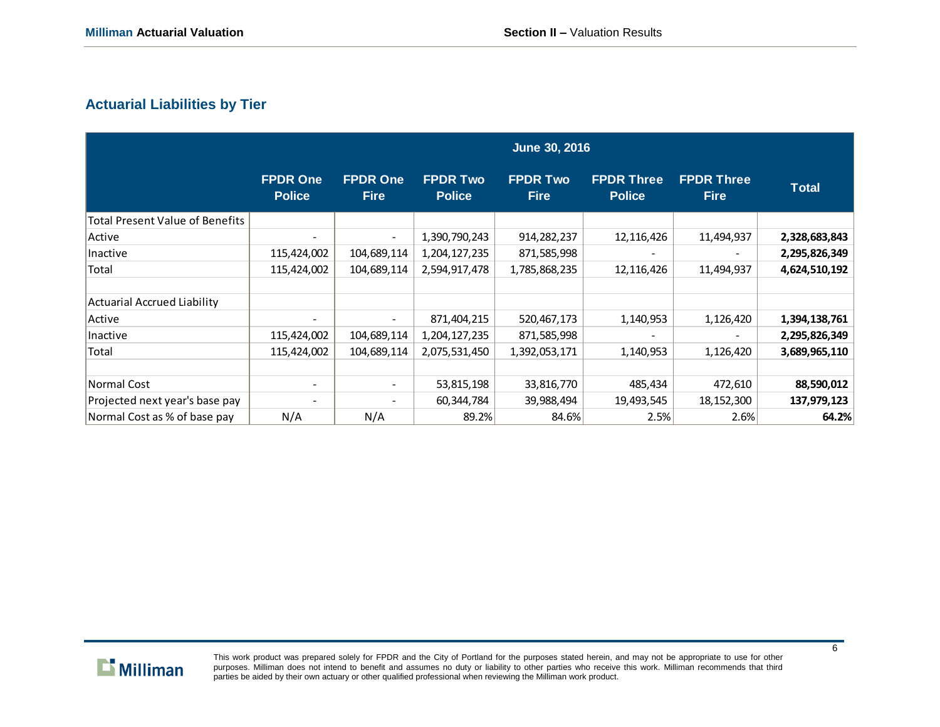## **Actuarial Liabilities by Tier**

|                                        |                                  |                                |                                  | June 30, 2016                  |                                    |                                  |               |
|----------------------------------------|----------------------------------|--------------------------------|----------------------------------|--------------------------------|------------------------------------|----------------------------------|---------------|
|                                        | <b>FPDR One</b><br><b>Police</b> | <b>FPDR One</b><br><b>Fire</b> | <b>FPDR Two</b><br><b>Police</b> | <b>FPDR Two</b><br><b>Fire</b> | <b>FPDR Three</b><br><b>Police</b> | <b>FPDR Three</b><br><b>Fire</b> | Total         |
| <b>Total Present Value of Benefits</b> |                                  |                                |                                  |                                |                                    |                                  |               |
| Active                                 | $\overline{\phantom{0}}$         | $\overline{\phantom{a}}$       | 1,390,790,243                    | 914,282,237                    | 12,116,426                         | 11,494,937                       | 2,328,683,843 |
| Inactive                               | 115,424,002                      | 104,689,114                    | 1,204,127,235                    | 871,585,998                    |                                    |                                  | 2,295,826,349 |
| Total                                  | 115,424,002                      | 104,689,114                    | 2,594,917,478                    | 1,785,868,235                  | 12,116,426                         | 11,494,937                       | 4,624,510,192 |
| <b>Actuarial Accrued Liability</b>     |                                  |                                |                                  |                                |                                    |                                  |               |
| Active                                 | $\qquad \qquad \blacksquare$     | $\overline{\phantom{a}}$       | 871,404,215                      | 520,467,173                    | 1,140,953                          | 1,126,420                        | 1,394,138,761 |
| Inactive                               | 115,424,002                      | 104,689,114                    | 1,204,127,235                    | 871,585,998                    |                                    |                                  | 2,295,826,349 |
| Total                                  | 115,424,002                      | 104,689,114                    | 2,075,531,450                    | 1,392,053,171                  | 1,140,953                          | 1,126,420                        | 3,689,965,110 |
| <b>Normal Cost</b>                     | $\blacksquare$                   | $\overline{\phantom{a}}$       | 53,815,198                       | 33,816,770                     | 485,434                            | 472,610                          | 88,590,012    |
| Projected next year's base pay         | $\overline{\phantom{a}}$         | $\overline{\phantom{a}}$       | 60,344,784                       | 39,988,494                     | 19,493,545                         | 18, 152, 300                     | 137,979,123   |
| Normal Cost as % of base pay           | N/A                              | N/A                            | 89.2%                            | 84.6%                          | 2.5%                               | 2.6%                             | 64.2%         |

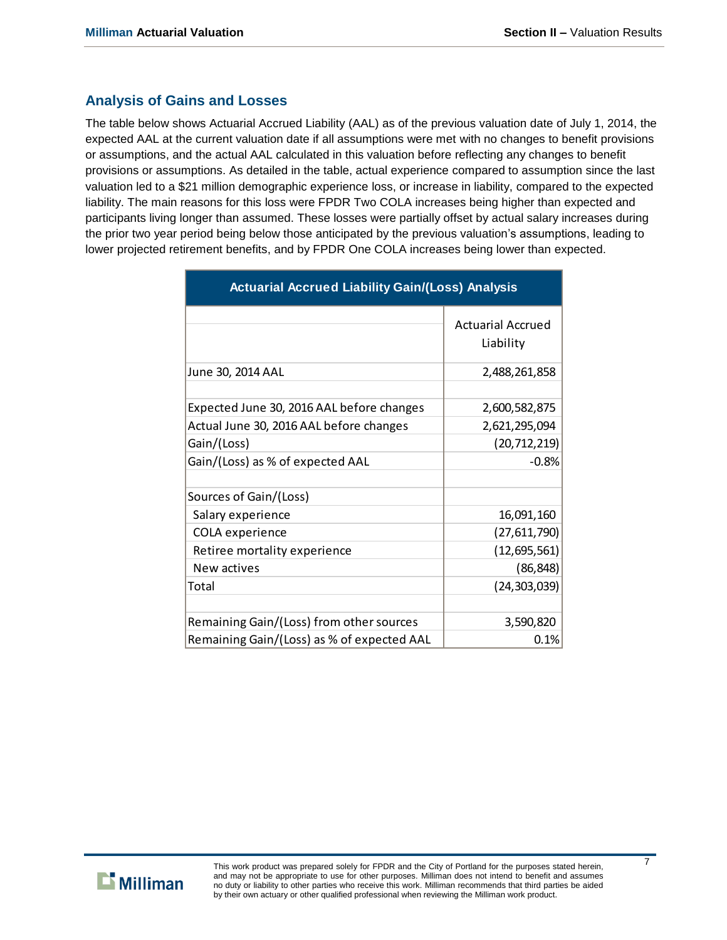#### **Analysis of Gains and Losses**

The table below shows Actuarial Accrued Liability (AAL) as of the previous valuation date of July 1, 2014, the expected AAL at the current valuation date if all assumptions were met with no changes to benefit provisions or assumptions, and the actual AAL calculated in this valuation before reflecting any changes to benefit provisions or assumptions. As detailed in the table, actual experience compared to assumption since the last valuation led to a \$21 million demographic experience loss, or increase in liability, compared to the expected liability. The main reasons for this loss were FPDR Two COLA increases being higher than expected and participants living longer than assumed. These losses were partially offset by actual salary increases during the prior two year period being below those anticipated by the previous valuation's assumptions, leading to lower projected retirement benefits, and by FPDR One COLA increases being lower than expected.

| <b>Actuarial Accrued Liability Gain/(Loss) Analysis</b> |                                |
|---------------------------------------------------------|--------------------------------|
|                                                         | Actuarial Accrued<br>Liability |
| June 30, 2014 AAL                                       | 2,488,261,858                  |
| Expected June 30, 2016 AAL before changes               | 2,600,582,875                  |
| Actual June 30, 2016 AAL before changes                 | 2,621,295,094                  |
| Gain/(Loss)                                             | (20, 712, 219)                 |
| Gain/(Loss) as % of expected AAL                        | $-0.8%$                        |
| Sources of Gain/(Loss)                                  |                                |
| Salary experience                                       | 16,091,160                     |
| <b>COLA</b> experience                                  | (27,611,790)                   |
| Retiree mortality experience                            | (12,695,561)                   |
| New actives                                             | (86, 848)                      |
| Total                                                   | (24, 303, 039)                 |
| Remaining Gain/(Loss) from other sources                | 3,590,820                      |
| Remaining Gain/(Loss) as % of expected AAL              | 0.1%                           |

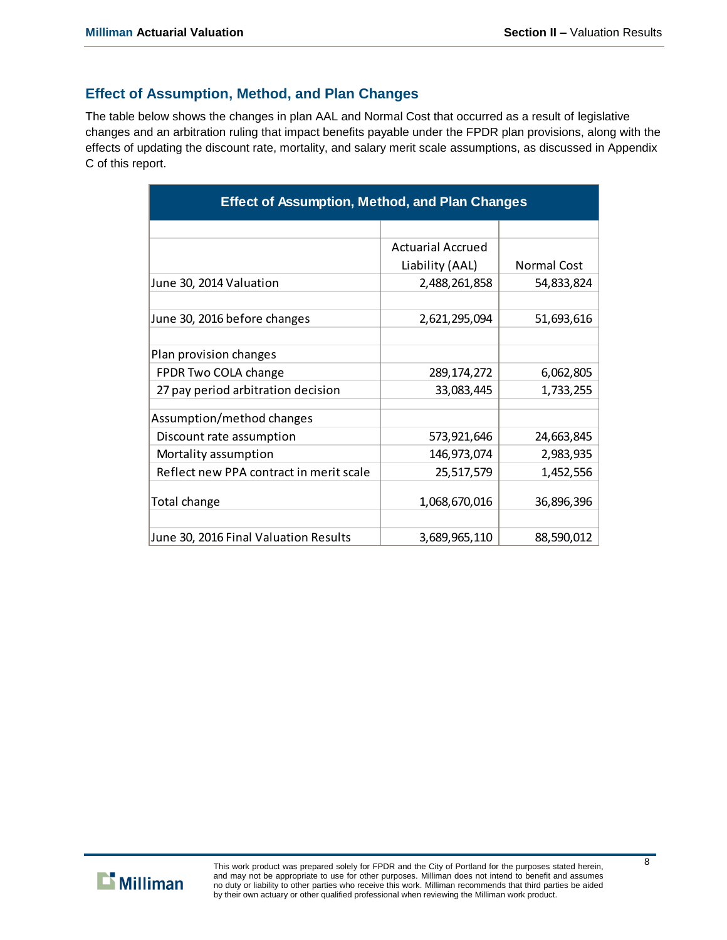## **Effect of Assumption, Method, and Plan Changes**

The table below shows the changes in plan AAL and Normal Cost that occurred as a result of legislative changes and an arbitration ruling that impact benefits payable under the FPDR plan provisions, along with the effects of updating the discount rate, mortality, and salary merit scale assumptions, as discussed in Appendix C of this report.

| <b>Effect of Assumption, Method, and Plan Changes</b> |                          |                    |
|-------------------------------------------------------|--------------------------|--------------------|
|                                                       |                          |                    |
|                                                       | <b>Actuarial Accrued</b> |                    |
|                                                       | Liability (AAL)          | <b>Normal Cost</b> |
| June 30, 2014 Valuation                               | 2,488,261,858            | 54,833,824         |
|                                                       |                          |                    |
| June 30, 2016 before changes                          | 2,621,295,094            | 51,693,616         |
|                                                       |                          |                    |
| Plan provision changes                                |                          |                    |
| FPDR Two COLA change                                  | 289, 174, 272            | 6,062,805          |
| 27 pay period arbitration decision                    | 33,083,445               | 1,733,255          |
| Assumption/method changes                             |                          |                    |
| Discount rate assumption                              | 573,921,646              | 24,663,845         |
| Mortality assumption                                  | 146,973,074              | 2,983,935          |
| Reflect new PPA contract in merit scale               | 25,517,579               | 1,452,556          |
| Total change                                          | 1,068,670,016            | 36,896,396         |
|                                                       |                          |                    |
| June 30, 2016 Final Valuation Results                 | 3,689,965,110            | 88,590,012         |

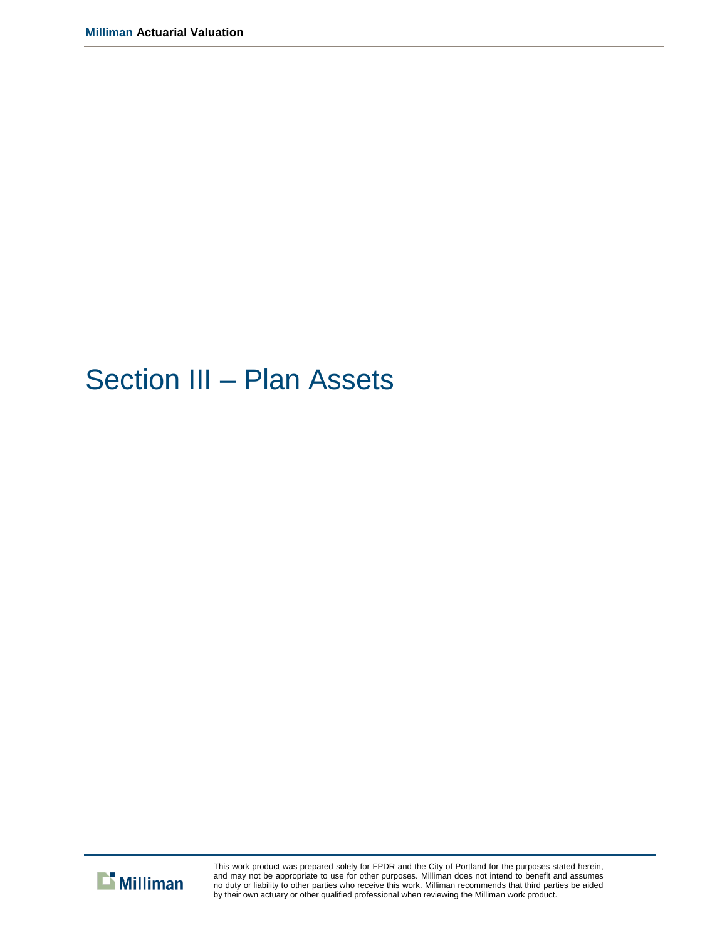# Section III – Plan Assets

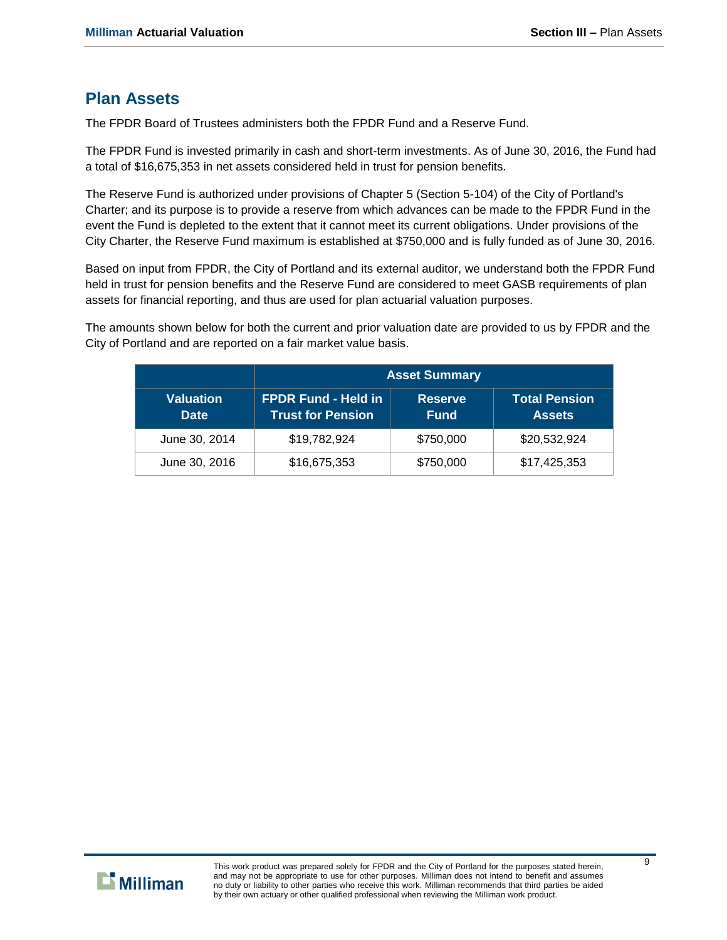# <span id="page-15-0"></span>**Plan Assets**

The FPDR Board of Trustees administers both the FPDR Fund and a Reserve Fund.

The FPDR Fund is invested primarily in cash and short-term investments. As of June 30, 2016, the Fund had a total of \$16,675,353 in net assets considered held in trust for pension benefits.

The Reserve Fund is authorized under provisions of Chapter 5 (Section 5-104) of the City of Portland's Charter; and its purpose is to provide a reserve from which advances can be made to the FPDR Fund in the event the Fund is depleted to the extent that it cannot meet its current obligations. Under provisions of the City Charter, the Reserve Fund maximum is established at \$750,000 and is fully funded as of June 30, 2016.

Based on input from FPDR, the City of Portland and its external auditor, we understand both the FPDR Fund held in trust for pension benefits and the Reserve Fund are considered to meet GASB requirements of plan assets for financial reporting, and thus are used for plan actuarial valuation purposes.

The amounts shown below for both the current and prior valuation date are provided to us by FPDR and the City of Portland and are reported on a fair market value basis.

|                                 |                                                        | <b>Asset Summary</b>          |                                       |
|---------------------------------|--------------------------------------------------------|-------------------------------|---------------------------------------|
| <b>Valuation</b><br><b>Date</b> | <b>FPDR Fund - Held in</b><br><b>Trust for Pension</b> | <b>Reserve</b><br><b>Fund</b> | <b>Total Pension</b><br><b>Assets</b> |
| June 30, 2014                   | \$19,782,924                                           | \$750,000                     | \$20,532,924                          |
| June 30, 2016                   | \$16,675,353                                           | \$750,000                     | \$17,425,353                          |

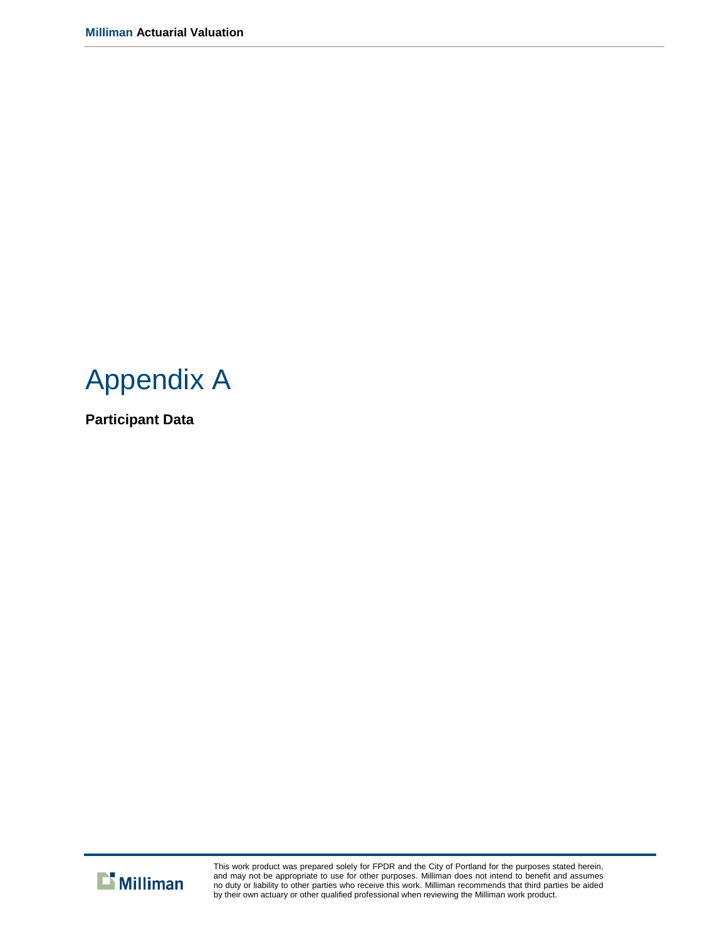Appendix A

**Participant Data**

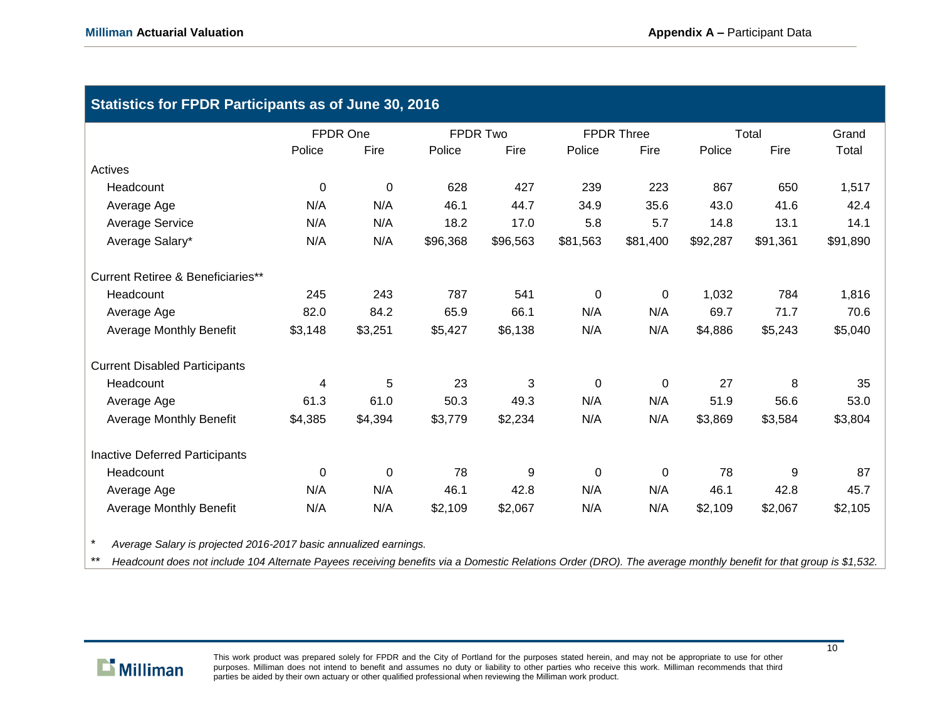<span id="page-17-0"></span>

| <b>Statistics for FPDR Participants as of June 30, 2016</b>      |                  |                  |          |          |             |                   |          |          |          |
|------------------------------------------------------------------|------------------|------------------|----------|----------|-------------|-------------------|----------|----------|----------|
|                                                                  |                  | FPDR One         |          | FPDR Two |             | <b>FPDR Three</b> |          | Total    | Grand    |
|                                                                  | Police           | Fire             | Police   | Fire     | Police      | Fire              | Police   | Fire     | Total    |
| Actives                                                          |                  |                  |          |          |             |                   |          |          |          |
| Headcount                                                        | $\boldsymbol{0}$ | $\boldsymbol{0}$ | 628      | 427      | 239         | 223               | 867      | 650      | 1,517    |
| Average Age                                                      | N/A              | N/A              | 46.1     | 44.7     | 34.9        | 35.6              | 43.0     | 41.6     | 42.4     |
| <b>Average Service</b>                                           | N/A              | N/A              | 18.2     | 17.0     | 5.8         | 5.7               | 14.8     | 13.1     | 14.1     |
| Average Salary*                                                  | N/A              | N/A              | \$96,368 | \$96,563 | \$81,563    | \$81,400          | \$92,287 | \$91,361 | \$91,890 |
| Current Retiree & Beneficiaries**                                |                  |                  |          |          |             |                   |          |          |          |
| Headcount                                                        | 245              | 243              | 787      | 541      | 0           | $\pmb{0}$         | 1,032    | 784      | 1,816    |
| Average Age                                                      | 82.0             | 84.2             | 65.9     | 66.1     | N/A         | N/A               | 69.7     | 71.7     | 70.6     |
| <b>Average Monthly Benefit</b>                                   | \$3,148          | \$3,251          | \$5,427  | \$6,138  | N/A         | N/A               | \$4,886  | \$5,243  | \$5,040  |
| <b>Current Disabled Participants</b>                             |                  |                  |          |          |             |                   |          |          |          |
| Headcount                                                        | 4                | 5                | 23       | 3        | 0           | $\pmb{0}$         | 27       | 8        | 35       |
| Average Age                                                      | 61.3             | 61.0             | 50.3     | 49.3     | N/A         | N/A               | 51.9     | 56.6     | 53.0     |
| <b>Average Monthly Benefit</b>                                   | \$4,385          | \$4,394          | \$3,779  | \$2,234  | N/A         | N/A               | \$3,869  | \$3,584  | \$3,804  |
| Inactive Deferred Participants                                   |                  |                  |          |          |             |                   |          |          |          |
| Headcount                                                        | $\boldsymbol{0}$ | $\boldsymbol{0}$ | 78       | 9        | $\mathbf 0$ | $\pmb{0}$         | 78       | 9        | 87       |
| Average Age                                                      | N/A              | N/A              | 46.1     | 42.8     | N/A         | N/A               | 46.1     | 42.8     | 45.7     |
| <b>Average Monthly Benefit</b>                                   | N/A              | N/A              | \$2,109  | \$2,067  | N/A         | N/A               | \$2,109  | \$2,067  | \$2,105  |
| Average Salary is projected 2016-2017 basic annualized earnings. |                  |                  |          |          |             |                   |          |          |          |

\*\* Headcount does not include 104 Alternate Payees receiving benefits via a Domestic Relations Order (DRO). The average monthly benefit for that group is \$1,532.

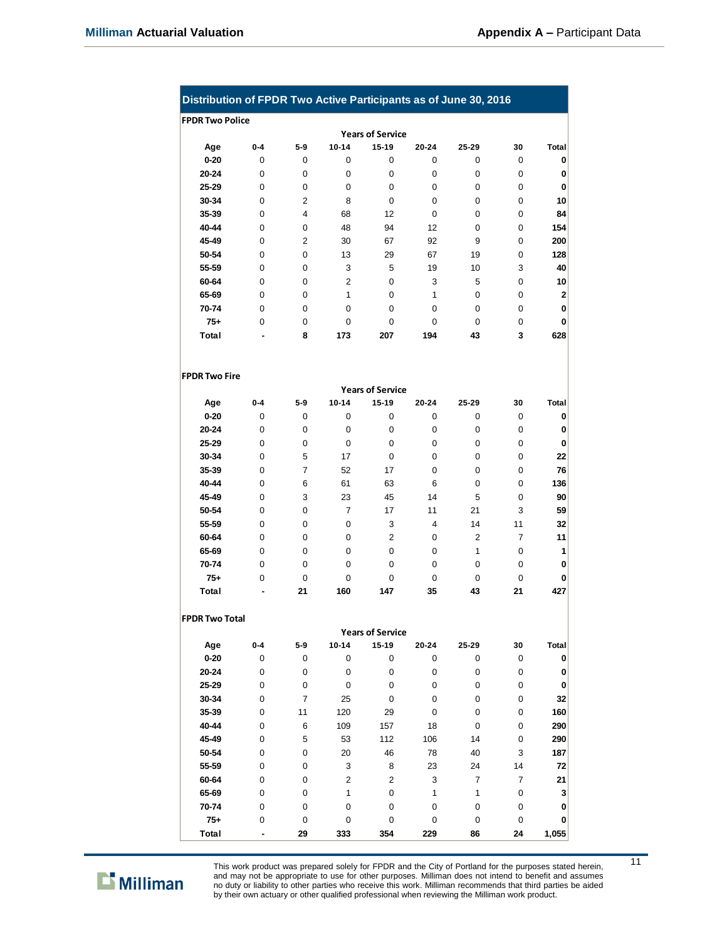| Distribution of FPDR Two Active Participants as of June 30, 2016                                                |                      |
|-----------------------------------------------------------------------------------------------------------------|----------------------|
| <b>FPDR Two Police</b>                                                                                          |                      |
| <b>Years of Service</b>                                                                                         |                      |
| $0-4$<br>$5 - 9$<br>$10 - 14$<br>$15 - 19$<br>$20 - 24$<br>25-29<br>Age                                         | 30<br><b>Total</b>   |
| $0 - 20$<br>0<br>0<br>0<br>0<br>0<br>0                                                                          | 0<br>0               |
| 20-24<br>$\mathbf 0$<br>$\mathbf 0$<br>$\mathbf 0$<br>0<br>0<br>0                                               | 0<br>0               |
| 25-29<br>0<br>0<br>0<br>0<br>0<br>0                                                                             | 0<br>0               |
| 30-34<br>0<br>2<br>0<br>8<br>0<br>0                                                                             | 10<br>0              |
| 35-39<br>0<br>4<br>68<br>12<br>0<br>0                                                                           | 0<br>84              |
| 40-44<br>48<br>12<br>0<br>0<br>94<br>0                                                                          | 154<br>0             |
| 45-49<br>0<br>$\overline{2}$<br>30<br>67<br>92<br>9                                                             | 0<br>200             |
| 0<br>67<br>50-54<br>0<br>13<br>29<br>19                                                                         | 128<br>0             |
| 55-59<br>0<br>3<br>5<br>0<br>19<br>10                                                                           | 3<br>40              |
| 60-64<br>0<br>$\overline{2}$<br>0<br>3<br>5<br>0                                                                | 0<br>10              |
| 65-69<br>0<br>0<br>1<br>0<br>$\mathbf{1}$<br>0                                                                  | 0<br>$\bf{2}$        |
| 70-74<br>0<br>0<br>0<br>0<br>0<br>0                                                                             | 0<br>0               |
| $75+$<br>0<br>0<br>0<br>0<br>0<br>0                                                                             | 0<br>0               |
| Total<br>43<br>8<br>173<br>207<br>194<br>٠                                                                      | 3<br>628             |
|                                                                                                                 |                      |
| <b>FPDR Two Fire</b>                                                                                            |                      |
| <b>Years of Service</b>                                                                                         |                      |
| Age<br>$0-4$<br>$5 - 9$<br>$10 - 14$<br>$15 - 19$<br>$20 - 24$<br>25-29                                         | 30<br>Total          |
| $0 - 20$<br>0<br>0<br>0<br>0<br>0<br>0                                                                          | 0<br>0               |
| 20-24<br>0<br>0<br>0<br>0<br>0<br>0                                                                             | 0<br>0               |
| 25-29<br>0<br>0<br>0<br>0<br>0<br>0                                                                             | 0<br>0               |
| 30-34<br>0<br>5<br>17<br>0<br>0<br>0                                                                            | 0<br>22              |
| 7<br>52<br>17<br>35-39<br>0<br>0<br>0                                                                           | 0<br>76              |
| 40-44<br>0<br>61<br>63<br>6<br>6<br>0                                                                           | 0<br>136             |
| 45-49<br>3<br>45<br>14<br>5<br>0<br>23                                                                          | 90<br>0              |
| 50-54<br>0<br>7<br>17<br>11<br>21<br>0                                                                          | 3<br>59              |
| 55-59<br>0<br>$\mathbf 0$<br>4<br>0<br>3<br>14                                                                  | 11<br>32             |
| 60-64<br>0<br>0<br>2<br>0<br>$\overline{2}$<br>0                                                                | $\overline{7}$<br>11 |
| 65-69<br>0<br>0<br>0<br>0<br>$\mathbf 0$<br>$\mathbf{1}$                                                        | 0<br>1               |
| 70-74<br>0<br>0<br>0<br>0<br>0<br>0                                                                             | 0<br>0               |
| $75+$<br>0<br>0<br>0<br>0<br>0<br>0                                                                             | 0<br>0               |
| Total<br>21<br>147<br>160<br>35<br>43<br>ä,                                                                     | 427<br>21            |
| <b>FPDR Two Total</b>                                                                                           |                      |
| <b>Years of Service</b><br>$15-19$                                                                              |                      |
| $0 - 4$<br>$5 - 9$<br>$10 - 14$<br>Age<br>20-24<br>25-29                                                        | 30<br>Total          |
| $0 - 20$<br>$\mathsf 0$<br>0<br>0<br>0<br>0<br>0                                                                | 0<br>0               |
| 20-24<br>0<br>0<br>0<br>0<br>0<br>0                                                                             | 0<br>$\pmb{0}$       |
| 25-29<br>$\boldsymbol{0}$<br>0<br>$\pmb{0}$<br>0<br>0<br>0<br>$\overline{7}$<br>30-34<br>0<br>25<br>0<br>0<br>0 | 0<br>0<br>32         |
|                                                                                                                 | 0                    |
| 35-39<br>0<br>11<br>120<br>29<br>0<br>0<br>40-44<br>0<br>6<br>109<br>157<br>18                                  | 0<br>160<br>290      |
| 0<br>45-49<br>0<br>5<br>53<br>14<br>112                                                                         | 0<br>290<br>0        |
| 106<br>50-54<br>$\boldsymbol{0}$<br>0<br>20<br>46<br>78<br>40                                                   | 3<br>187             |
| 55-59<br>0<br>3<br>8                                                                                            | 14                   |
| 23<br>0<br>24<br>60-64<br>0<br>$\overline{c}$<br>$\overline{2}$<br>3<br>$\overline{7}$                          | 72<br>$\overline{7}$ |
| 0<br>65-69<br>0<br>0<br>$\mathbf{1}$<br>0<br>1<br>1                                                             | 21<br>0<br>3         |
| 70-74<br>0<br>0<br>0<br>0<br>0<br>0                                                                             | 0<br>0               |
| $75+$<br>0<br>0<br>0<br>0<br>0<br>0                                                                             | 0<br>0               |
| Total<br>ä,<br>29<br>333<br>354<br>229<br>86                                                                    | 1,055<br>24          |

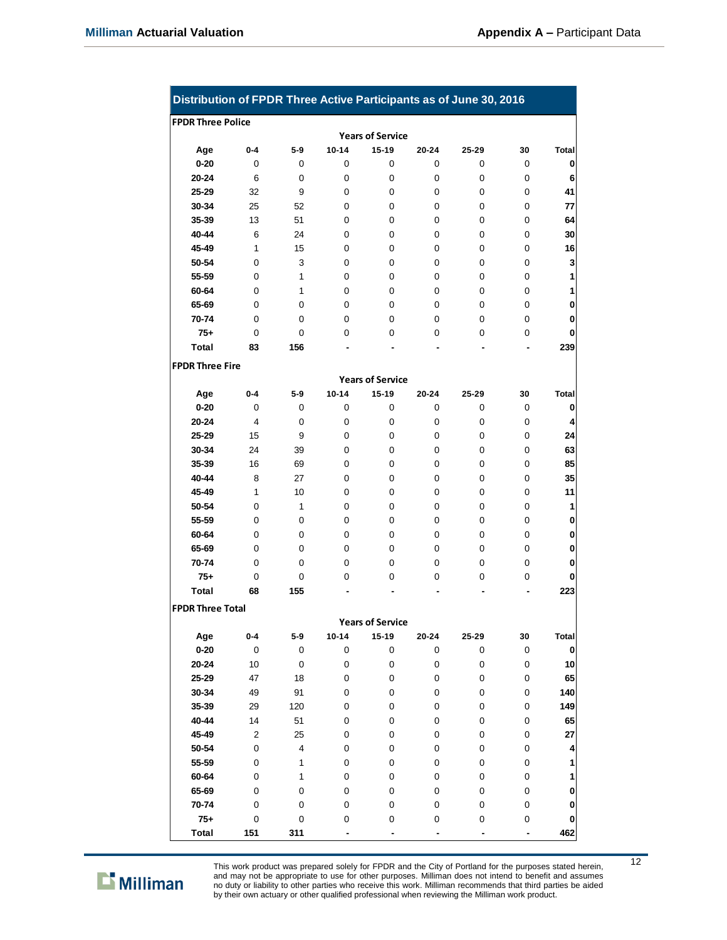|                         | <b>FPDR Three Police</b> |                           |             | <b>Years of Service</b> |           |             |                              |          |
|-------------------------|--------------------------|---------------------------|-------------|-------------------------|-----------|-------------|------------------------------|----------|
| Age                     | $0 - 4$                  | $5 - 9$                   | $10 - 14$   | $15-19$                 | 20-24     | 25-29       | 30                           | Total    |
| $0 - 20$                | $\pmb{0}$                | $\pmb{0}$                 | 0           | 0                       | $\pmb{0}$ | $\pmb{0}$   | $\pmb{0}$                    | $\bf{0}$ |
| 20-24                   | 6                        | 0                         | $\pmb{0}$   | $\pmb{0}$               | $\pmb{0}$ | 0           | 0                            | 6        |
| 25-29                   | 32                       | 9                         | $\pmb{0}$   | $\pmb{0}$               | $\pmb{0}$ | 0           | 0                            | 41       |
| 30-34                   | 25                       | 52                        | $\pmb{0}$   | 0                       | $\pmb{0}$ | 0           | 0                            | 77       |
| 35-39                   | 13                       | 51                        | $\pmb{0}$   | 0                       | 0         | 0           | 0                            | 64       |
| 40-44                   | 6                        | 24                        | $\pmb{0}$   | 0                       | 0         | 0           | $\pmb{0}$                    | 30       |
| 45-49                   | 1                        | 15                        | $\pmb{0}$   | 0                       | 0         | 0           | $\pmb{0}$                    | 16       |
| 50-54                   | $\pmb{0}$                | $\ensuremath{\mathsf{3}}$ | $\pmb{0}$   | $\pmb{0}$               | $\pmb{0}$ | 0           | $\pmb{0}$                    | 3        |
| 55-59                   | $\pmb{0}$                | 1                         | $\pmb{0}$   | $\pmb{0}$               | $\pmb{0}$ | 0           | 0                            | 1        |
| 60-64                   | 0                        | 1                         | $\pmb{0}$   | 0                       | $\pmb{0}$ | 0           | 0                            | 1        |
| 65-69                   | 0                        | 0                         | $\pmb{0}$   | 0                       | 0         | 0           | $\pmb{0}$                    | 0        |
| 70-74                   | 0                        | $\boldsymbol{0}$          | $\pmb{0}$   | 0                       | 0         | 0           | 0                            | $\bf{0}$ |
|                         |                          |                           |             |                         |           |             |                              |          |
| $75+$                   | 0                        | $\boldsymbol{0}$          | 0           | 0                       | 0         | $\mathbf 0$ | 0                            | 0        |
| <b>Total</b>            | 83                       | 156                       |             |                         |           |             | $\qquad \qquad \blacksquare$ | 239      |
| <b>FPDR Three Fire</b>  |                          |                           |             |                         |           |             |                              |          |
|                         |                          |                           |             | <b>Years of Service</b> |           |             |                              |          |
| Age                     | $0 - 4$                  | $5 - 9$                   | $10 - 14$   | $15-19$                 | 20-24     | 25-29       | 30                           | Total    |
| $0 - 20$                | 0                        | $\pmb{0}$                 | $\pmb{0}$   | 0                       | $\pmb{0}$ | $\pmb{0}$   | $\pmb{0}$                    | $\bf{0}$ |
| 20-24                   | 4                        | $\pmb{0}$                 | $\pmb{0}$   | 0                       | $\pmb{0}$ | 0           | 0                            | 4        |
| 25-29                   | 15                       | 9                         | $\pmb{0}$   | 0                       | $\pmb{0}$ | 0           | 0                            | 24       |
| 30-34                   | 24                       | 39                        | $\pmb{0}$   | $\pmb{0}$               | $\pmb{0}$ | 0           | $\pmb{0}$                    | 63       |
| 35-39                   | 16                       | 69                        | $\pmb{0}$   | $\pmb{0}$               | $\pmb{0}$ | 0           | 0                            | 85       |
| 40-44                   | 8                        | 27                        | $\pmb{0}$   | $\pmb{0}$               | $\pmb{0}$ | $\pmb{0}$   | $\pmb{0}$                    | 35       |
| 45-49                   | $\mathbf{1}$             | $10$                      | $\pmb{0}$   | $\pmb{0}$               | $\pmb{0}$ | $\pmb{0}$   | 0                            | 11       |
| 50-54                   | $\pmb{0}$                | 1                         | $\pmb{0}$   | $\pmb{0}$               | $\pmb{0}$ | $\pmb{0}$   | 0                            | 1        |
| 55-59                   | $\pmb{0}$                | $\pmb{0}$                 | $\pmb{0}$   | $\pmb{0}$               | $\pmb{0}$ | $\pmb{0}$   | 0                            | $\bf{0}$ |
| 60-64                   | $\pmb{0}$                | $\pmb{0}$                 | $\pmb{0}$   | $\pmb{0}$               | $\pmb{0}$ | $\pmb{0}$   | 0                            | 0        |
| 65-69                   | $\boldsymbol{0}$         | $\pmb{0}$                 | $\pmb{0}$   | $\pmb{0}$               | $\pmb{0}$ | $\pmb{0}$   | 0                            | 0        |
| 70-74                   | 0                        | $\pmb{0}$                 | $\pmb{0}$   | $\pmb{0}$               | $\pmb{0}$ | 0           | 0                            | 0        |
| $75+$                   | 0                        | 0                         | $\pmb{0}$   | 0                       | 0         | 0           | 0                            | 0        |
| Total                   | 68                       | 155                       |             |                         |           |             | $\blacksquare$               | 223      |
| <b>FPDR Three Total</b> |                          |                           |             |                         |           |             |                              |          |
|                         |                          |                           |             | <b>Years of Service</b> |           |             |                              |          |
| Age                     | 0-4                      | $5-9$                     | 10-14       | 15-19                   | 20-24     | 25-29       | 30                           | Total    |
| $0 - 20$                | 0                        | 0                         | 0           | 0                       | 0         | 0           | 0                            | 0        |
| 20-24                   | 10                       | 0                         | 0           | 0                       | 0         | 0           | 0                            | 10       |
| 25-29                   | 47                       | 18                        | $\mathbf 0$ | 0                       | 0         | $\mathbf 0$ | 0                            | 65       |
| 30-34                   | 49                       | 91                        | $\mathbf 0$ | 0                       | 0         | $\mathbf 0$ | 0                            | 140      |
| 35-39                   | 29                       | 120                       | $\mathbf 0$ | 0                       | 0         | $\mathbf 0$ | 0                            | 149      |
| 40-44                   | 14                       | 51                        | 0           | 0                       | 0         | 0           | 0                            | 65       |
| 45-49                   | $\overline{2}$           | 25                        | 0           | 0                       | 0         | 0           | 0                            | 27       |
| 50-54                   | 0                        | $\overline{4}$            | 0           | 0                       | 0         | 0           | 0                            | 4        |
| 55-59                   | 0                        | 1                         | 0           | 0                       | 0         | 0           | 0                            | 1        |
| 60-64                   | 0                        | 1                         | 0           | 0                       | 0         | 0           | 0                            | 1        |
| 65-69                   | 0                        | 0                         | 0           | 0                       | 0         | 0           | 0                            | 0        |
| 70-74                   | 0                        | 0                         | 0           | 0                       | 0         | $\mathbf 0$ | 0                            | 0        |
| $75+$                   | 0                        | 0                         | 0           | 0                       | 0         | 0           | 0                            | 0        |
| Total                   | 151                      | 311                       |             |                         |           |             |                              | 462      |

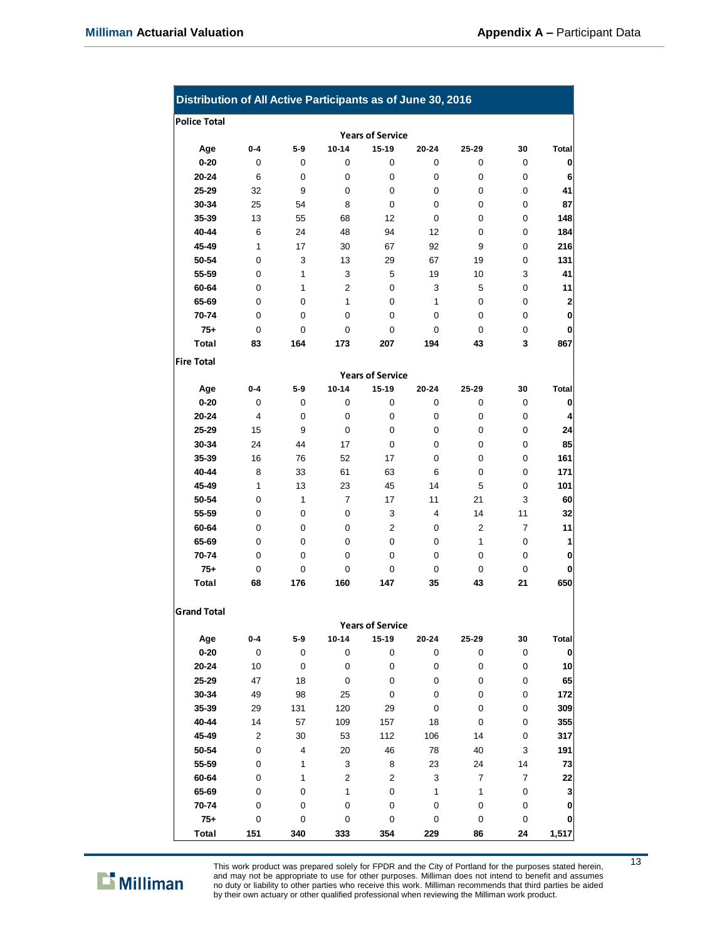| Distribution of All Active Participants as of June 30, 2016 |                |              |                |                                      |             |                |                |              |
|-------------------------------------------------------------|----------------|--------------|----------------|--------------------------------------|-------------|----------------|----------------|--------------|
| <b>Police Total</b>                                         |                |              |                |                                      |             |                |                |              |
|                                                             | $0 - 4$        | $5 - 9$      | $10 - 14$      | <b>Years of Service</b><br>$15 - 19$ | 20-24       | 25-29          | 30             | <b>Total</b> |
| Age<br>$0 - 20$                                             | $\pmb{0}$      | $\pmb{0}$    | $\pmb{0}$      | $\pmb{0}$                            | 0           | 0              | $\pmb{0}$      | 0            |
| 20-24                                                       | 6              | 0            | $\pmb{0}$      | 0                                    | $\pmb{0}$   | $\pmb{0}$      | 0              | 6            |
| 25-29                                                       | 32             | 9            | $\pmb{0}$      | 0                                    | $\pmb{0}$   | $\pmb{0}$      | 0              | 41           |
| 30-34                                                       | 25             | 54           | 8              | 0                                    | $\pmb{0}$   | $\pmb{0}$      | 0              | 87           |
| 35-39                                                       | 13             | 55           | 68             | 12                                   | $\pmb{0}$   | 0              | 0              | 148          |
| 40-44                                                       | 6              | 24           | 48             | 94                                   | 12          | 0              | 0              | 184          |
| 45-49                                                       | 1              | 17           | 30             | 67                                   | 92          | 9              | 0              | 216          |
| 50-54                                                       | $\pmb{0}$      | 3            | 13             | 29                                   | 67          | 19             | 0              | 131          |
| 55-59                                                       | $\pmb{0}$      | 1            | 3              | 5                                    | 19          | 10             | 3              | 41           |
| 60-64                                                       | $\pmb{0}$      | 1            | $\sqrt{2}$     | $\pmb{0}$                            | 3           | 5              | $\pmb{0}$      | 11           |
|                                                             | $\pmb{0}$      | $\pmb{0}$    | 1              | $\pmb{0}$                            | 1           | $\pmb{0}$      | $\pmb{0}$      | $\mathbf{2}$ |
| 65-69<br>70-74                                              | $\pmb{0}$      | $\pmb{0}$    | $\pmb{0}$      | $\pmb{0}$                            | 0           | $\pmb{0}$      | $\pmb{0}$      | 0            |
|                                                             |                |              |                |                                      |             |                |                |              |
| $75+$<br>Total                                              | $\pmb{0}$      | 0            | $\pmb{0}$      | 0                                    | 0           | 0              | $\pmb{0}$      | 0            |
|                                                             | 83             | 164          | 173            | 207                                  | 194         | 43             | $\mathbf 3$    | 867          |
| <b>Fire Total</b>                                           |                |              |                | <b>Years of Service</b>              |             |                |                |              |
| Age                                                         | 0-4            | 5-9          | $10 - 14$      | 15-19                                | 20-24       | 25-29          | 30             | Total        |
| $0 - 20$                                                    | $\pmb{0}$      | $\pmb{0}$    | $\pmb{0}$      | $\pmb{0}$                            | $\pmb{0}$   | $\pmb{0}$      | $\pmb{0}$      | 0            |
| 20-24                                                       | 4              | $\pmb{0}$    | $\pmb{0}$      | 0                                    | $\pmb{0}$   | 0              | $\pmb{0}$      | 4            |
| 25-29                                                       | 15             | 9            | $\pmb{0}$      | 0                                    | 0           | 0              | 0              | 24           |
| 30-34                                                       | 24             | 44           | 17             | $\pmb{0}$                            | $\pmb{0}$   | 0              | $\pmb{0}$      | 85           |
| 35-39                                                       | 16             | 76           | 52             | 17                                   | $\pmb{0}$   | $\pmb{0}$      | $\pmb{0}$      | 161          |
| 40-44                                                       | 8              | 33           | 61             | 63                                   | 6           | $\pmb{0}$      | $\pmb{0}$      | 171          |
| 45-49                                                       | 1              | 13           | 23             | 45                                   | 14          | 5              | $\pmb{0}$      | 101          |
| 50-54                                                       | $\pmb{0}$      | 1            | $\overline{7}$ | 17                                   | 11          | 21             | 3              | 60           |
| 55-59                                                       | 0              | 0            | $\pmb{0}$      | 3                                    | 4           | 14             | 11             | 32           |
| 60-64                                                       | 0              | 0            | $\pmb{0}$      | $\overline{c}$                       | 0           | $\overline{c}$ | $\overline{7}$ | 11           |
| 65-69                                                       | $\pmb{0}$      | 0            | $\pmb{0}$      | 0                                    | 0           | 1              | $\pmb{0}$      | 1            |
| 70-74                                                       | $\pmb{0}$      | $\pmb{0}$    | $\pmb{0}$      | 0                                    | 0           | 0              | $\pmb{0}$      | 0            |
| $75+$                                                       | 0              | 0            | 0              | 0                                    | 0           | 0              | 0              | 0            |
| <b>Total</b>                                                | 68             | 176          | 160            | 147                                  | 35          | 43             | 21             | 650          |
| <b>Grand Total</b>                                          |                |              |                |                                      |             |                |                |              |
|                                                             |                |              |                | <b>Years of Service</b>              |             |                |                |              |
| Age                                                         | $0-4$          | $5-9$        | $10 - 14$      | 15-19                                | 20-24       | 25-29          | 30             | <b>Total</b> |
| $0 - 20$                                                    | 0              | 0            | 0              | 0                                    | 0           | 0              | 0              | 0            |
| 20-24                                                       | 10             | 0            | 0              | 0                                    | 0           | 0              | 0              | 10           |
| 25-29                                                       | 47             | 18           | $\mathbf 0$    | $\mathbf 0$                          | 0           | 0              | 0              | 65           |
| 30-34                                                       | 49             | 98           | 25             | $\mathbf 0$                          | 0           | 0              | 0              | 172          |
| 35-39                                                       | 29             | 131          | 120            | 29                                   | $\mathbf 0$ | 0              | 0              | 309          |
| 40-44                                                       | 14             | 57           | 109            | 157                                  | 18          | 0              | 0              | 355          |
| 45-49                                                       | $\overline{c}$ | 30           | 53             | 112                                  | 106         | 14             | 0              | 317          |
| 50-54                                                       | 0              | 4            | 20             | 46                                   | 78          | 40             | 3              | 191          |
| 55-59                                                       | 0              | $\mathbf{1}$ | 3              | 8                                    | 23          | 24             | 14             | 73           |
| 60-64                                                       | 0              | $\mathbf{1}$ | $\overline{2}$ | $\overline{c}$                       | 3           | 7              | 7              | 22           |
| 65-69                                                       | 0              | 0            | $\mathbf{1}$   | 0                                    | 1           | $\mathbf{1}$   | 0              | 3            |
| 70-74                                                       | 0              | 0            | 0              | 0                                    | 0           | 0              | 0              | 0            |
| 75+                                                         | 0              | 0            | 0              | 0                                    | 0           | 0              | 0              | 0            |
| Total                                                       | 151            | 340          | 333            | 354                                  | 229         | 86             | 24             | 1,517        |

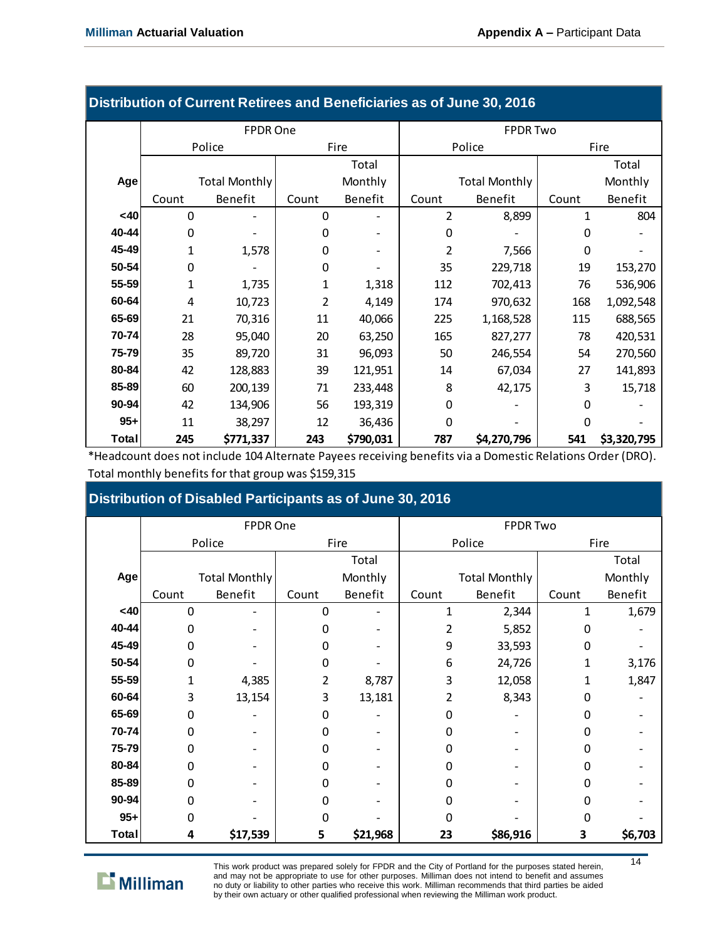$\blacksquare$  Milliman

|       | FPDR One |                      |       |           | <b>FPDR Two</b> |                      |       |             |
|-------|----------|----------------------|-------|-----------|-----------------|----------------------|-------|-------------|
|       |          | Police               |       | Fire      |                 | Police               |       | Fire        |
|       |          |                      |       | Total     |                 |                      |       | Total       |
| Age   |          | <b>Total Monthly</b> |       | Monthly   |                 | <b>Total Monthly</b> |       | Monthly     |
|       | Count    | Benefit              | Count | Benefit   | Count           | Benefit              | Count | Benefit     |
| <40   | $\Omega$ |                      | 0     |           | $\overline{2}$  | 8,899                | 1     | 804         |
| 40-44 | 0        |                      | 0     |           | 0               |                      | 0     |             |
| 45-49 | 1        | 1,578                | 0     |           | 2               | 7,566                | 0     |             |
| 50-54 | 0        |                      | 0     |           | 35              | 229,718              | 19    | 153,270     |
| 55-59 | 1        | 1,735                | 1     | 1,318     | 112             | 702,413              | 76    | 536,906     |
| 60-64 | 4        | 10,723               | 2     | 4,149     | 174             | 970,632              | 168   | 1,092,548   |
| 65-69 | 21       | 70,316               | 11    | 40,066    | 225             | 1,168,528            | 115   | 688,565     |
| 70-74 | 28       | 95,040               | 20    | 63,250    | 165             | 827,277              | 78    | 420,531     |
| 75-79 | 35       | 89,720               | 31    | 96,093    | 50              | 246,554              | 54    | 270,560     |
| 80-84 | 42       | 128,883              | 39    | 121,951   | 14              | 67,034               | 27    | 141,893     |
| 85-89 | 60       | 200,139              | 71    | 233,448   | 8               | 42,175               | 3     | 15,718      |
| 90-94 | 42       | 134,906              | 56    | 193,319   | 0               |                      | 0     |             |
| $95+$ | 11       | 38,297               | 12    | 36,436    | 0               |                      | 0     |             |
| Total | 245      | \$771,337            | 243   | \$790,031 | 787             | \$4,270,796          | 541   | \$3,320,795 |

## **Distribution of Current Retirees and Beneficiaries as of June 30, 2016**

# **Distribution of Disabled Participants as of June 30, 2016**

| Age          |                         | <b>Total Monthly</b>                                      |                | Monthly   |                | <b>Total Monthly</b>                                                                                     |              | Monthly        |
|--------------|-------------------------|-----------------------------------------------------------|----------------|-----------|----------------|----------------------------------------------------------------------------------------------------------|--------------|----------------|
|              | Count                   | Benefit                                                   | Count          | Benefit   | Count          | Benefit                                                                                                  | Count        | Benefit        |
| <40          | $\mathbf 0$             |                                                           | $\mathbf 0$    |           | $\overline{2}$ | 8,899                                                                                                    | $\mathbf{1}$ | 804            |
| 40-44        | 0                       |                                                           | 0              |           | $\mathbf 0$    |                                                                                                          | 0            |                |
| 45-49        | 1                       | 1,578                                                     | 0              |           | $\overline{2}$ | 7,566                                                                                                    | 0            |                |
| 50-54        | 0                       |                                                           | 0              |           | 35             | 229,718                                                                                                  | 19           | 153,270        |
| 55-59        | 1                       | 1,735                                                     | 1              | 1,318     | 112            | 702,413                                                                                                  | 76           | 536,906        |
| 60-64        | 4                       | 10,723                                                    | $\overline{2}$ | 4,149     | 174            | 970,632                                                                                                  | 168          | 1,092,548      |
| 65-69        | 21                      | 70,316                                                    | $11\,$         | 40,066    | 225            | 1,168,528                                                                                                | 115          | 688,565        |
| 70-74        | 28                      | 95,040                                                    | 20             | 63,250    | 165            | 827,277                                                                                                  | 78           | 420,531        |
| 75-79        | 35                      | 89,720                                                    | 31             | 96,093    | 50             | 246,554                                                                                                  | 54           | 270,560        |
| 80-84        | 42                      | 128,883                                                   | 39             | 121,951   | 14             | 67,034                                                                                                   | 27           | 141,893        |
| 85-89        | 60                      | 200,139                                                   | 71             | 233,448   | 8              | 42,175                                                                                                   | 3            | 15,718         |
| 90-94        | 42                      | 134,906                                                   | 56             | 193,319   | 0              |                                                                                                          | 0            |                |
| $95+$        | 11                      | 38,297                                                    | 12             | 36,436    | 0              |                                                                                                          | 0            |                |
| <b>Total</b> | 245                     | \$771,337                                                 | 243            | \$790,031 | 787            | \$4,270,796                                                                                              | 541          | \$3,320,795    |
|              |                         |                                                           |                |           |                | Headcount does not include 104 Alternate Payees receiving benefits via a Domestic Relations Order (DRO). |              |                |
|              |                         | Total monthly benefits for that group was \$159,315       |                |           |                |                                                                                                          |              |                |
|              |                         | Distribution of Disabled Participants as of June 30, 2016 |                |           |                |                                                                                                          |              |                |
|              |                         |                                                           |                |           |                |                                                                                                          |              |                |
|              |                         | FPDR One                                                  |                |           |                | <b>FPDR Two</b>                                                                                          |              |                |
|              |                         | Police                                                    |                | Fire      |                | Police                                                                                                   |              | Fire           |
|              |                         |                                                           |                | Total     |                |                                                                                                          |              | Total          |
| Age          |                         | <b>Total Monthly</b>                                      |                | Monthly   |                | <b>Total Monthly</b>                                                                                     |              | Monthly        |
|              | Count                   | Benefit                                                   | Count          | Benefit   | Count          | Benefit                                                                                                  | Count        | Benefit        |
| <40<br>40-44 | $\mathbf 0$<br>$\Omega$ |                                                           | 0              |           | $\mathbf{1}$   | 2,344                                                                                                    | $\mathbf{1}$ | 1,679          |
| 45-49        |                         |                                                           | 0              |           | 2              | 5,852                                                                                                    | 0            |                |
| 50-54        | 0<br>0                  |                                                           | 0<br>0         |           | 9              | 33,593                                                                                                   | 0            |                |
| 55-59        | 1                       | 4,385                                                     | $\overline{2}$ | 8,787     | 6<br>3         | 24,726<br>12,058                                                                                         | 1<br>1       | 3,176<br>1,847 |
| 60-64        | 3                       | 13,154                                                    | 3              | 13,181    | 2              | 8,343                                                                                                    | 0            |                |
| 65-69        | 0                       |                                                           | 0              |           | 0              |                                                                                                          | 0            |                |
| 70-74        | 0                       |                                                           | 0              |           | O              |                                                                                                          | O            |                |
| 75-79        | 0                       |                                                           | 0              |           | 0              |                                                                                                          | 0            |                |
| 80-84        | 0                       |                                                           | O              |           | 0              |                                                                                                          | O            |                |
| 85-89        | 0                       |                                                           |                |           | 0              |                                                                                                          | 0            |                |
| 90-94        | 0                       |                                                           | 0              |           | O              |                                                                                                          | 0            |                |
| $95+$        | 0                       |                                                           | 0              |           | 0              |                                                                                                          | 0            |                |
| <b>Total</b> | 4                       | \$17,539                                                  | 5              | \$21,968  | 23             | \$86,916                                                                                                 | з            | \$6,703        |
|              |                         |                                                           |                |           |                |                                                                                                          |              |                |
|              |                         |                                                           |                |           |                |                                                                                                          |              |                |

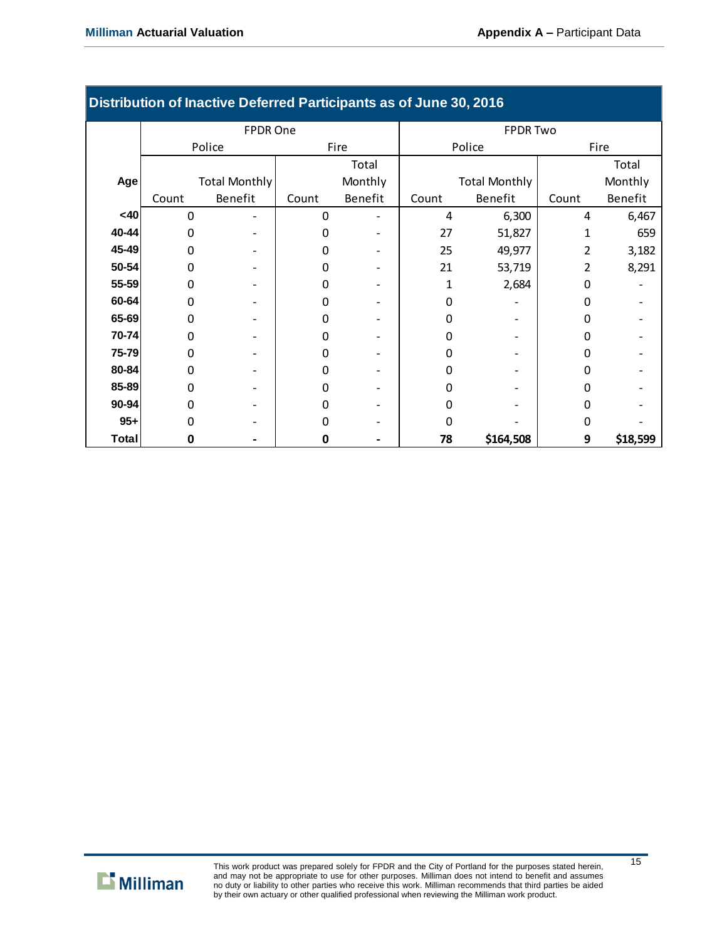| Distribution of inactive Deferred Participants as of June 30, 2016 |          |                      |              |         |                 |                      |       |          |
|--------------------------------------------------------------------|----------|----------------------|--------------|---------|-----------------|----------------------|-------|----------|
|                                                                    |          | FPDR One             |              |         | <b>FPDR Two</b> |                      |       |          |
|                                                                    |          | Police               |              | Fire    |                 | Police               |       | Fire     |
|                                                                    |          |                      |              | Total   |                 |                      |       | Total    |
| Age                                                                |          | <b>Total Monthly</b> |              | Monthly |                 | <b>Total Monthly</b> |       | Monthly  |
|                                                                    | Count    | Benefit              | Count        | Benefit | Count           | Benefit              | Count | Benefit  |
| <40                                                                | $\Omega$ |                      | $\mathbf{0}$ |         | 4               | 6,300                | 4     | 6,467    |
| 40-44                                                              | U        |                      | 0            |         | 27              | 51,827               | 1     | 659      |
| 45-49                                                              | O        |                      | O            |         | 25              | 49,977               | 2     | 3,182    |
| 50-54                                                              | 0        |                      | 0            |         | 21              | 53,719               | 2     | 8,291    |
| 55-59                                                              | U        |                      | O            |         | 1               | 2,684                | U     |          |
| 60-64                                                              | O        |                      | O            |         | U               |                      | n     |          |
| 65-69                                                              | 0        |                      | 0            |         | 0               |                      | 0     |          |
| 70-74                                                              | U        |                      | 0            |         | O               |                      | O     |          |
| 75-79                                                              | U        |                      | 0            |         | 0               |                      | O     |          |
| 80-84                                                              | 0        |                      | 0            |         | O               |                      |       |          |
| 85-89                                                              | U        |                      | O            |         | O               |                      | O     |          |
| 90-94                                                              | U        |                      | 0            |         | ი               |                      |       |          |
| $95+$                                                              | 0        |                      | O            |         | ი               |                      | 0     |          |
| Total                                                              | 0        |                      | Ω            |         | 78              | \$164,508            | 9     | \$18,599 |

#### **Distribution of Inactive Deferred Participants as of June 30, 2016**

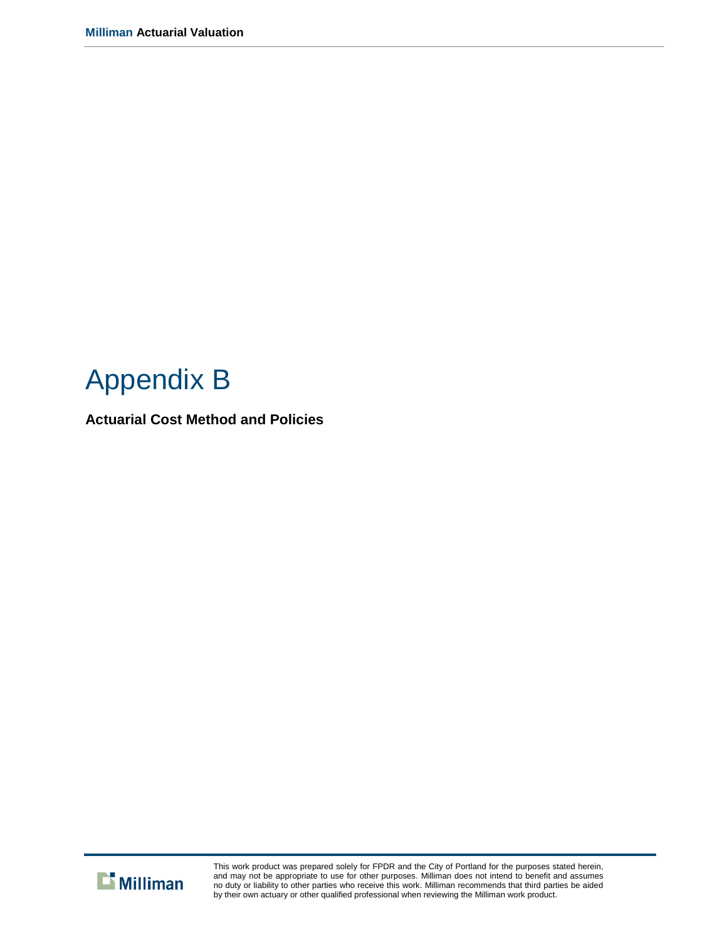# Appendix B

**Actuarial Cost Method and Policies**

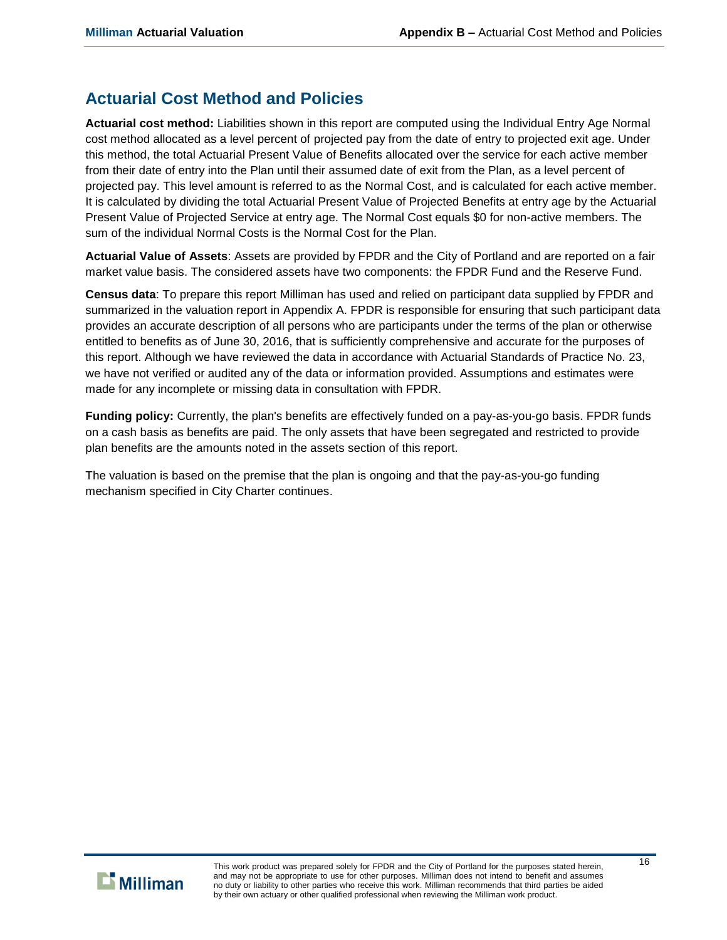# <span id="page-24-0"></span>**Actuarial Cost Method and Policies**

**Actuarial cost method:** Liabilities shown in this report are computed using the Individual Entry Age Normal cost method allocated as a level percent of projected pay from the date of entry to projected exit age. Under this method, the total Actuarial Present Value of Benefits allocated over the service for each active member from their date of entry into the Plan until their assumed date of exit from the Plan, as a level percent of projected pay. This level amount is referred to as the Normal Cost, and is calculated for each active member. It is calculated by dividing the total Actuarial Present Value of Projected Benefits at entry age by the Actuarial Present Value of Projected Service at entry age. The Normal Cost equals \$0 for non-active members. The sum of the individual Normal Costs is the Normal Cost for the Plan.

**Actuarial Value of Assets**: Assets are provided by FPDR and the City of Portland and are reported on a fair market value basis. The considered assets have two components: the FPDR Fund and the Reserve Fund.

**Census data**: To prepare this report Milliman has used and relied on participant data supplied by FPDR and summarized in the valuation report in Appendix A. FPDR is responsible for ensuring that such participant data provides an accurate description of all persons who are participants under the terms of the plan or otherwise entitled to benefits as of June 30, 2016, that is sufficiently comprehensive and accurate for the purposes of this report. Although we have reviewed the data in accordance with Actuarial Standards of Practice No. 23, we have not verified or audited any of the data or information provided. Assumptions and estimates were made for any incomplete or missing data in consultation with FPDR.

**Funding policy:** Currently, the plan's benefits are effectively funded on a pay-as-you-go basis. FPDR funds on a cash basis as benefits are paid. The only assets that have been segregated and restricted to provide plan benefits are the amounts noted in the assets section of this report.

The valuation is based on the premise that the plan is ongoing and that the pay-as-you-go funding mechanism specified in City Charter continues.

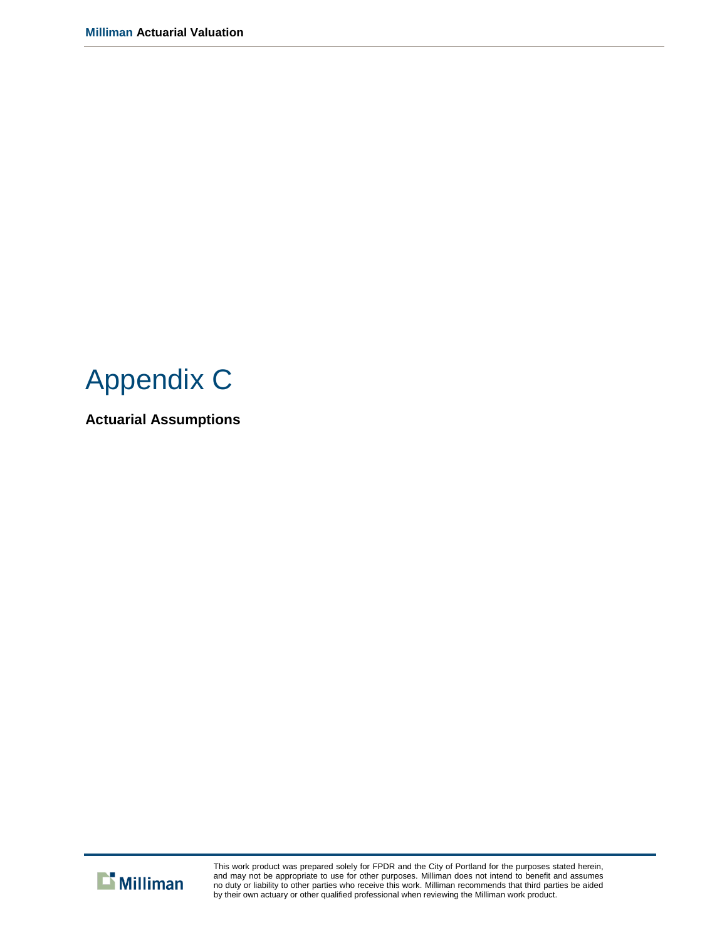Appendix C

**Actuarial Assumptions**

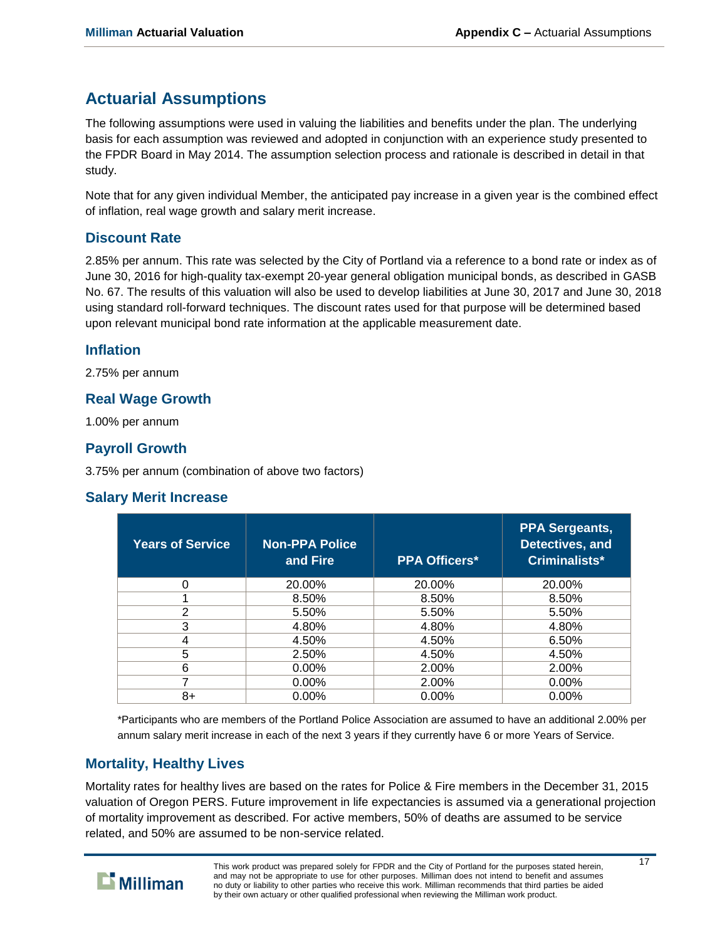# <span id="page-26-0"></span>**Actuarial Assumptions**

The following assumptions were used in valuing the liabilities and benefits under the plan. The underlying basis for each assumption was reviewed and adopted in conjunction with an experience study presented to the FPDR Board in May 2014. The assumption selection process and rationale is described in detail in that study.

Note that for any given individual Member, the anticipated pay increase in a given year is the combined effect of inflation, real wage growth and salary merit increase.

#### **Discount Rate**

2.85% per annum. This rate was selected by the City of Portland via a reference to a bond rate or index as of June 30, 2016 for high-quality tax-exempt 20-year general obligation municipal bonds, as described in GASB No. 67. The results of this valuation will also be used to develop liabilities at June 30, 2017 and June 30, 2018 using standard roll-forward techniques. The discount rates used for that purpose will be determined based upon relevant municipal bond rate information at the applicable measurement date.

#### **Inflation**

2.75% per annum

## **Real Wage Growth**

1.00% per annum

#### **Payroll Growth**

3.75% per annum (combination of above two factors)

## **Salary Merit Increase**

| <b>Years of Service</b> | <b>Non-PPA Police</b><br>and Fire | <b>PPA Officers*</b> | <b>PPA Sergeants,</b><br>Detectives, and<br>Criminalists* |
|-------------------------|-----------------------------------|----------------------|-----------------------------------------------------------|
|                         | 20.00%                            | 20.00%               | 20.00%                                                    |
|                         | 8.50%                             | 8.50%                | 8.50%                                                     |
| 2                       | 5.50%                             | 5.50%                | 5.50%                                                     |
| 3                       | 4.80%                             | 4.80%                | 4.80%                                                     |
| 4                       | 4.50%                             | 4.50%                | 6.50%                                                     |
| 5                       | 2.50%                             | 4.50%                | 4.50%                                                     |
| 6                       | $0.00\%$                          | 2.00%                | 2.00%                                                     |
| 7                       | $0.00\%$                          | 2.00%                | $0.00\%$                                                  |
| 8+                      | $0.00\%$                          | $0.00\%$             | $0.00\%$                                                  |

\*Participants who are members of the Portland Police Association are assumed to have an additional 2.00% per annum salary merit increase in each of the next 3 years if they currently have 6 or more Years of Service.

## **Mortality, Healthy Lives**

Mortality rates for healthy lives are based on the rates for Police & Fire members in the December 31, 2015 valuation of Oregon PERS. Future improvement in life expectancies is assumed via a generational projection of mortality improvement as described. For active members, 50% of deaths are assumed to be service related, and 50% are assumed to be non-service related.

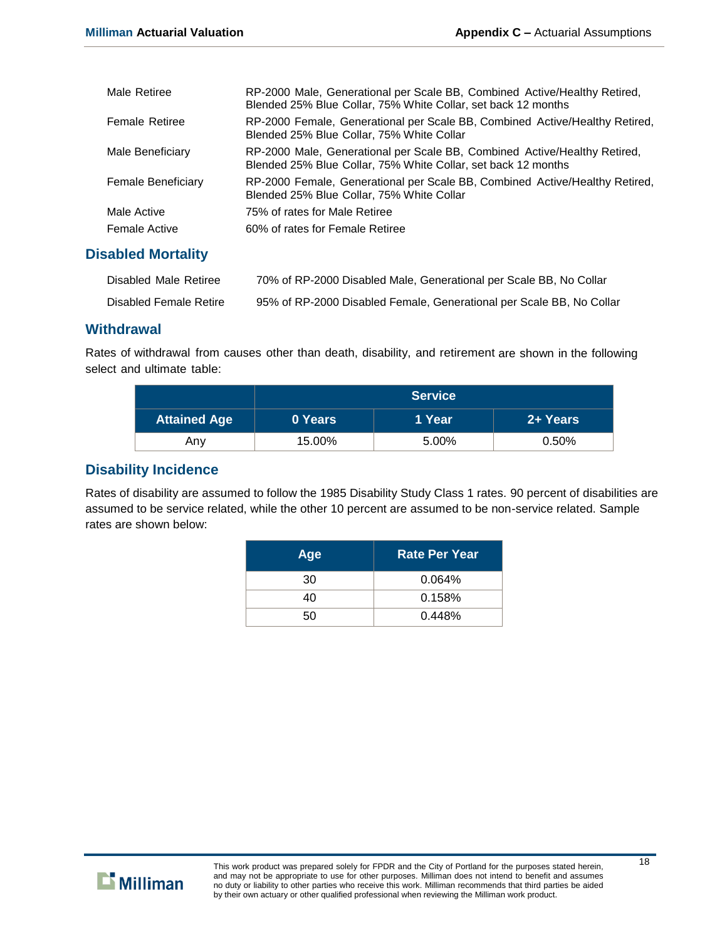| Male Retiree          | RP-2000 Male, Generational per Scale BB, Combined Active/Healthy Retired,<br>Blended 25% Blue Collar, 75% White Collar, set back 12 months |
|-----------------------|--------------------------------------------------------------------------------------------------------------------------------------------|
| <b>Female Retiree</b> | RP-2000 Female, Generational per Scale BB, Combined Active/Healthy Retired,<br>Blended 25% Blue Collar, 75% White Collar                   |
| Male Beneficiary      | RP-2000 Male, Generational per Scale BB, Combined Active/Healthy Retired,<br>Blended 25% Blue Collar, 75% White Collar, set back 12 months |
| Female Beneficiary    | RP-2000 Female, Generational per Scale BB, Combined Active/Healthy Retired,<br>Blended 25% Blue Collar, 75% White Collar                   |
| Male Active           | 75% of rates for Male Retiree                                                                                                              |
| <b>Female Active</b>  | 60% of rates for Female Retiree                                                                                                            |

#### **Disabled Mortality**

| Disabled Male Retiree  | 70% of RP-2000 Disabled Male, Generational per Scale BB, No Collar   |
|------------------------|----------------------------------------------------------------------|
| Disabled Female Retire | 95% of RP-2000 Disabled Female, Generational per Scale BB, No Collar |

#### **Withdrawal**

Rates of withdrawal from causes other than death, disability, and retirement are shown in the following select and ultimate table:

|                     | <b>Service</b> |        |          |  |  |
|---------------------|----------------|--------|----------|--|--|
| <b>Attained Age</b> | 0 Years        | 1 Year | 2+ Years |  |  |
| Any                 | 15.00%         | 5.00%  | 0.50%    |  |  |

#### **Disability Incidence**

Rates of disability are assumed to follow the 1985 Disability Study Class 1 rates. 90 percent of disabilities are assumed to be service related, while the other 10 percent are assumed to be non-service related. Sample rates are shown below:

| Age | <b>Rate Per Year</b> |
|-----|----------------------|
| 30  | $0.064\%$            |
| 40  | 0.158%               |
| 50  | 0.448%               |

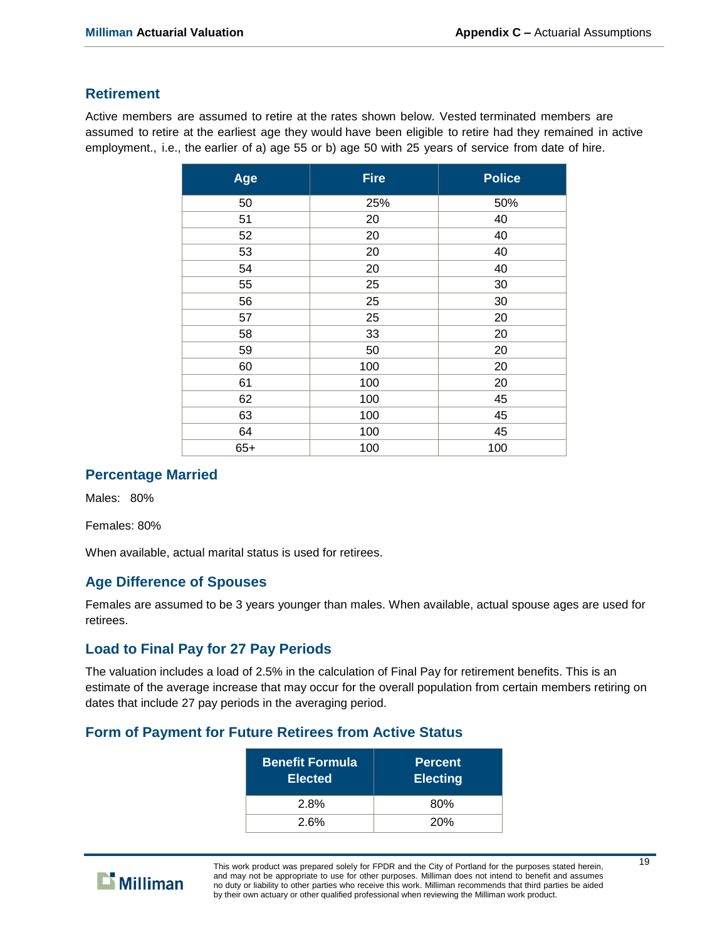#### **Retirement**

Active members are assumed to retire at the rates shown below. Vested terminated members are assumed to retire at the earliest age they would have been eligible to retire had they remained in active employment., i.e., the earlier of a) age 55 or b) age 50 with 25 years of service from date of hire.

| Age   | <b>Fire</b> | <b>Police</b> |
|-------|-------------|---------------|
| 50    | 25%         | 50%           |
| 51    | 20          | 40            |
| 52    | 20          | 40            |
| 53    | 20          | 40            |
| 54    | 20          | 40            |
| 55    | 25          | 30            |
| 56    | 25          | 30            |
| 57    | 25          | 20            |
| 58    | 33          | 20            |
| 59    | 50          | 20            |
| 60    | 100         | 20            |
| 61    | 100         | 20            |
| 62    | 100         | 45            |
| 63    | 100         | 45            |
| 64    | 100         | 45            |
| $65+$ | 100         | 100           |

## **Percentage Married**

Males: 80%

Females: 80%

When available, actual marital status is used for retirees.

#### **Age Difference of Spouses**

Females are assumed to be 3 years younger than males. When available, actual spouse ages are used for retirees.

#### **Load to Final Pay for 27 Pay Periods**

The valuation includes a load of 2.5% in the calculation of Final Pay for retirement benefits. This is an estimate of the average increase that may occur for the overall population from certain members retiring on dates that include 27 pay periods in the averaging period.

#### **Form of Payment for Future Retirees from Active Status**

| <b>Benefit Formula</b><br><b>Elected</b> | <b>Percent</b><br><b>Electing</b> |
|------------------------------------------|-----------------------------------|
| 2.8%                                     | 80%                               |
| 2.6%                                     | <b>20%</b>                        |

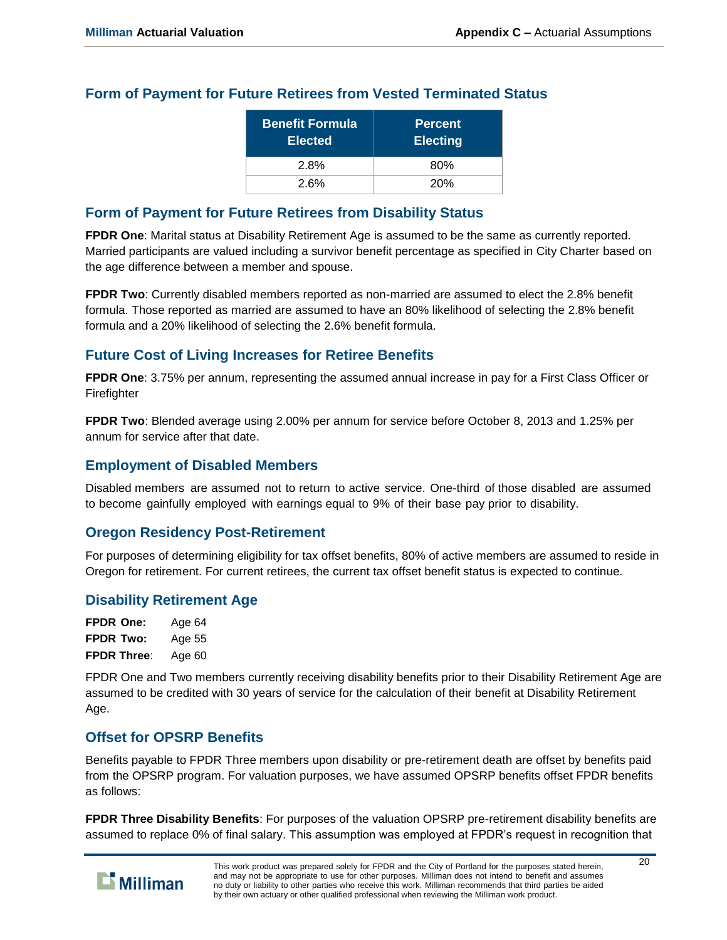#### **Form of Payment for Future Retirees from Vested Terminated Status**

| <b>Benefit Formula</b><br><b>Elected</b> | <b>Percent</b><br><b>Electing</b> |
|------------------------------------------|-----------------------------------|
| 2.8%                                     | 80%                               |
| 2.6%                                     | 20 <sub>%</sub>                   |

#### **Form of Payment for Future Retirees from Disability Status**

**FPDR One**: Marital status at Disability Retirement Age is assumed to be the same as currently reported. Married participants are valued including a survivor benefit percentage as specified in City Charter based on the age difference between a member and spouse.

**FPDR Two**: Currently disabled members reported as non-married are assumed to elect the 2.8% benefit formula. Those reported as married are assumed to have an 80% likelihood of selecting the 2.8% benefit formula and a 20% likelihood of selecting the 2.6% benefit formula.

#### **Future Cost of Living Increases for Retiree Benefits**

**FPDR One**: 3.75% per annum, representing the assumed annual increase in pay for a First Class Officer or Firefighter

**FPDR Two**: Blended average using 2.00% per annum for service before October 8, 2013 and 1.25% per annum for service after that date.

#### **Employment of Disabled Members**

Disabled members are assumed not to return to active service. One-third of those disabled are assumed to become gainfully employed with earnings equal to 9% of their base pay prior to disability.

## **Oregon Residency Post-Retirement**

For purposes of determining eligibility for tax offset benefits, 80% of active members are assumed to reside in Oregon for retirement. For current retirees, the current tax offset benefit status is expected to continue.

#### **Disability Retirement Age**

| <b>FPDR One:</b>   | Age 64 |
|--------------------|--------|
| <b>FPDR Two:</b>   | Age 55 |
| <b>FPDR Three:</b> | Age 60 |

FPDR One and Two members currently receiving disability benefits prior to their Disability Retirement Age are assumed to be credited with 30 years of service for the calculation of their benefit at Disability Retirement Age.

## **Offset for OPSRP Benefits**

Benefits payable to FPDR Three members upon disability or pre-retirement death are offset by benefits paid from the OPSRP program. For valuation purposes, we have assumed OPSRP benefits offset FPDR benefits as follows:

**FPDR Three Disability Benefits**: For purposes of the valuation OPSRP pre-retirement disability benefits are assumed to replace 0% of final salary. This assumption was employed at FPDR's request in recognition that

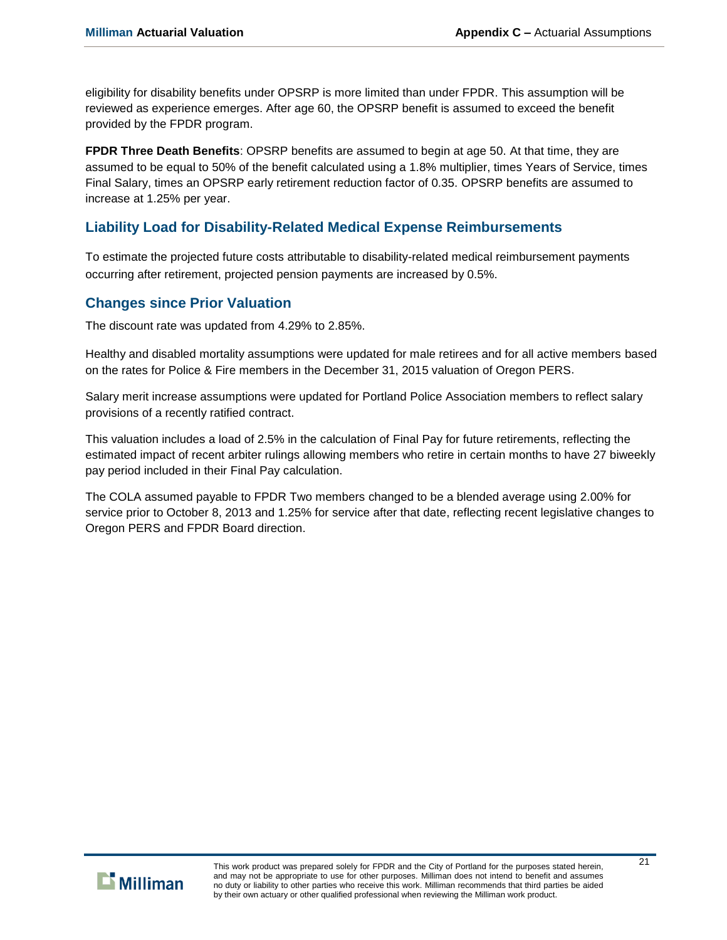eligibility for disability benefits under OPSRP is more limited than under FPDR. This assumption will be reviewed as experience emerges. After age 60, the OPSRP benefit is assumed to exceed the benefit provided by the FPDR program.

**FPDR Three Death Benefits**: OPSRP benefits are assumed to begin at age 50. At that time, they are assumed to be equal to 50% of the benefit calculated using a 1.8% multiplier, times Years of Service, times Final Salary, times an OPSRP early retirement reduction factor of 0.35. OPSRP benefits are assumed to increase at 1.25% per year.

#### **Liability Load for Disability-Related Medical Expense Reimbursements**

To estimate the projected future costs attributable to disability-related medical reimbursement payments occurring after retirement, projected pension payments are increased by 0.5%.

#### **Changes since Prior Valuation**

The discount rate was updated from 4.29% to 2.85%.

Healthy and disabled mortality assumptions were updated for male retirees and for all active members based on the rates for Police & Fire members in the December 31, 2015 valuation of Oregon PERS.

Salary merit increase assumptions were updated for Portland Police Association members to reflect salary provisions of a recently ratified contract.

This valuation includes a load of 2.5% in the calculation of Final Pay for future retirements, reflecting the estimated impact of recent arbiter rulings allowing members who retire in certain months to have 27 biweekly pay period included in their Final Pay calculation.

The COLA assumed payable to FPDR Two members changed to be a blended average using 2.00% for service prior to October 8, 2013 and 1.25% for service after that date, reflecting recent legislative changes to Oregon PERS and FPDR Board direction.

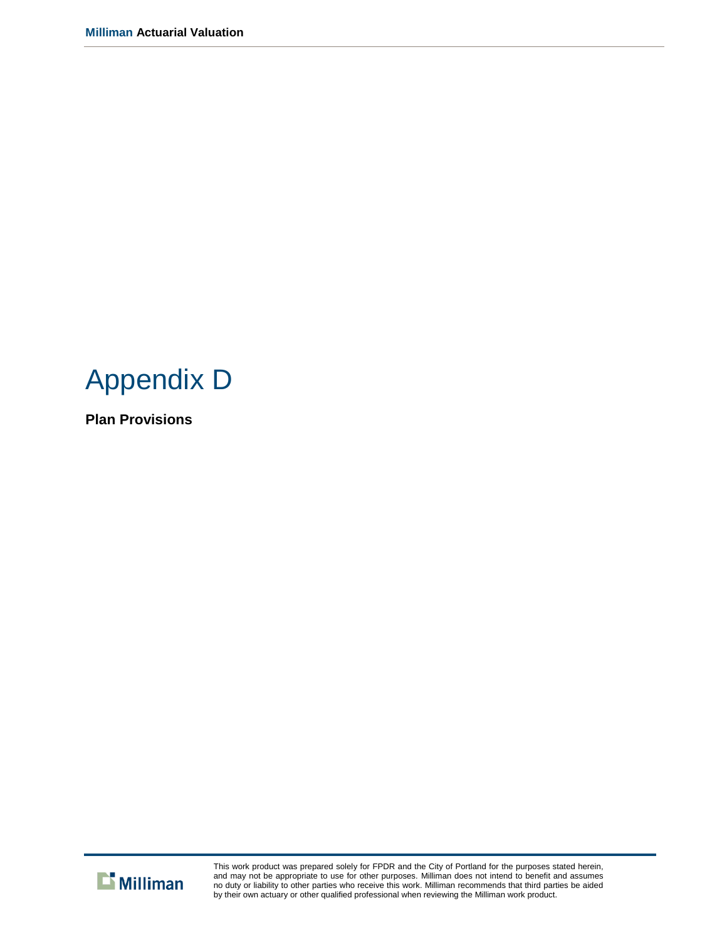Appendix D

**Plan Provisions**

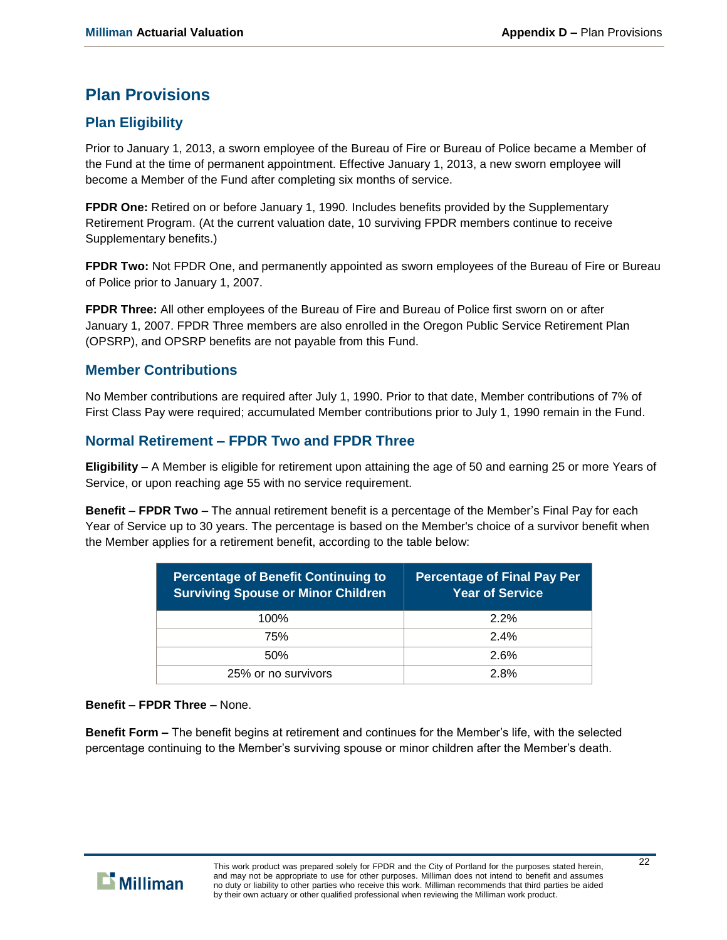# <span id="page-32-0"></span>**Plan Provisions**

## **Plan Eligibility**

Prior to January 1, 2013, a sworn employee of the Bureau of Fire or Bureau of Police became a Member of the Fund at the time of permanent appointment. Effective January 1, 2013, a new sworn employee will become a Member of the Fund after completing six months of service.

**FPDR One:** Retired on or before January 1, 1990. Includes benefits provided by the Supplementary Retirement Program. (At the current valuation date, 10 surviving FPDR members continue to receive Supplementary benefits.)

**FPDR Two:** Not FPDR One, and permanently appointed as sworn employees of the Bureau of Fire or Bureau of Police prior to January 1, 2007.

**FPDR Three:** All other employees of the Bureau of Fire and Bureau of Police first sworn on or after January 1, 2007. FPDR Three members are also enrolled in the Oregon Public Service Retirement Plan (OPSRP), and OPSRP benefits are not payable from this Fund.

#### **Member Contributions**

No Member contributions are required after July 1, 1990. Prior to that date, Member contributions of 7% of First Class Pay were required; accumulated Member contributions prior to July 1, 1990 remain in the Fund.

## **Normal Retirement – FPDR Two and FPDR Three**

**Eligibility –** A Member is eligible for retirement upon attaining the age of 50 and earning 25 or more Years of Service, or upon reaching age 55 with no service requirement.

**Benefit – FPDR Two –** The annual retirement benefit is a percentage of the Member's Final Pay for each Year of Service up to 30 years. The percentage is based on the Member's choice of a survivor benefit when the Member applies for a retirement benefit, according to the table below:

| <b>Percentage of Benefit Continuing to</b><br><b>Surviving Spouse or Minor Children</b> | <b>Percentage of Final Pay Per</b><br>Year of Service |
|-----------------------------------------------------------------------------------------|-------------------------------------------------------|
| 100%                                                                                    | 2.2%                                                  |
| 75%                                                                                     | 2.4%                                                  |
| .50%                                                                                    | 2.6%                                                  |
| 25% or no survivors                                                                     | 28%                                                   |

#### **Benefit – FPDR Three –** None.

**Benefit Form –** The benefit begins at retirement and continues for the Member's life, with the selected percentage continuing to the Member's surviving spouse or minor children after the Member's death.

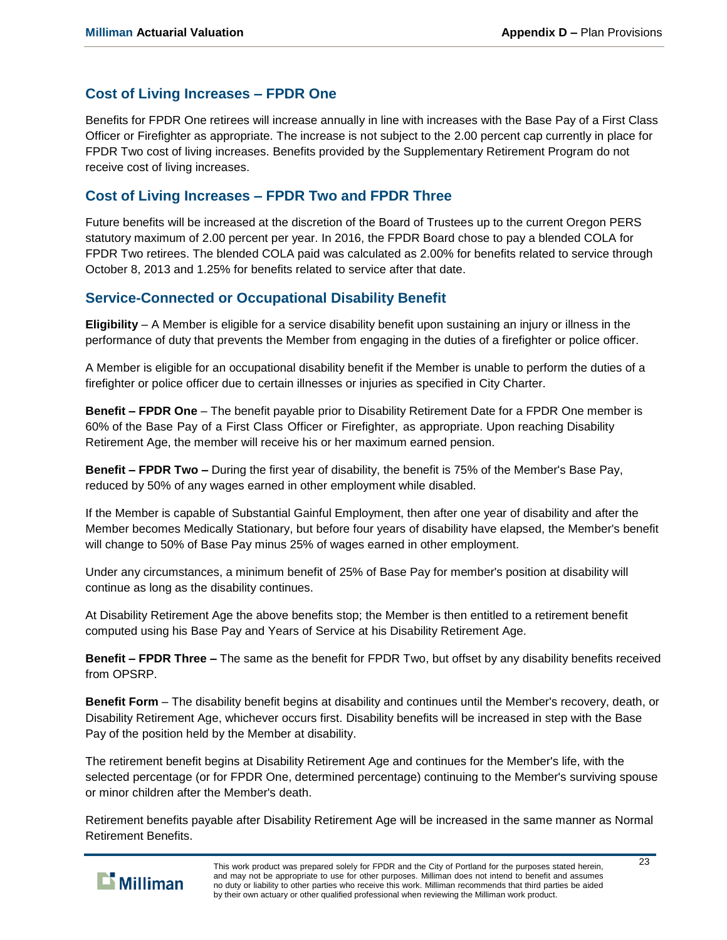#### **Cost of Living Increases – FPDR One**

Benefits for FPDR One retirees will increase annually in line with increases with the Base Pay of a First Class Officer or Firefighter as appropriate. The increase is not subject to the 2.00 percent cap currently in place for FPDR Two cost of living increases. Benefits provided by the Supplementary Retirement Program do not receive cost of living increases.

#### **Cost of Living Increases – FPDR Two and FPDR Three**

Future benefits will be increased at the discretion of the Board of Trustees up to the current Oregon PERS statutory maximum of 2.00 percent per year. In 2016, the FPDR Board chose to pay a blended COLA for FPDR Two retirees. The blended COLA paid was calculated as 2.00% for benefits related to service through October 8, 2013 and 1.25% for benefits related to service after that date.

## **Service-Connected or Occupational Disability Benefit**

**Eligibility** – A Member is eligible for a service disability benefit upon sustaining an injury or illness in the performance of duty that prevents the Member from engaging in the duties of a firefighter or police officer.

A Member is eligible for an occupational disability benefit if the Member is unable to perform the duties of a firefighter or police officer due to certain illnesses or injuries as specified in City Charter.

**Benefit – FPDR One** – The benefit payable prior to Disability Retirement Date for a FPDR One member is 60% of the Base Pay of a First Class Officer or Firefighter, as appropriate. Upon reaching Disability Retirement Age, the member will receive his or her maximum earned pension.

**Benefit – FPDR Two –** During the first year of disability, the benefit is 75% of the Member's Base Pay, reduced by 50% of any wages earned in other employment while disabled.

If the Member is capable of Substantial Gainful Employment, then after one year of disability and after the Member becomes Medically Stationary, but before four years of disability have elapsed, the Member's benefit will change to 50% of Base Pay minus 25% of wages earned in other employment.

Under any circumstances, a minimum benefit of 25% of Base Pay for member's position at disability will continue as long as the disability continues.

At Disability Retirement Age the above benefits stop; the Member is then entitled to a retirement benefit computed using his Base Pay and Years of Service at his Disability Retirement Age.

**Benefit – FPDR Three –** The same as the benefit for FPDR Two, but offset by any disability benefits received from OPSRP.

**Benefit Form** – The disability benefit begins at disability and continues until the Member's recovery, death, or Disability Retirement Age, whichever occurs first. Disability benefits will be increased in step with the Base Pay of the position held by the Member at disability.

The retirement benefit begins at Disability Retirement Age and continues for the Member's life, with the selected percentage (or for FPDR One, determined percentage) continuing to the Member's surviving spouse or minor children after the Member's death.

Retirement benefits payable after Disability Retirement Age will be increased in the same manner as Normal Retirement Benefits.

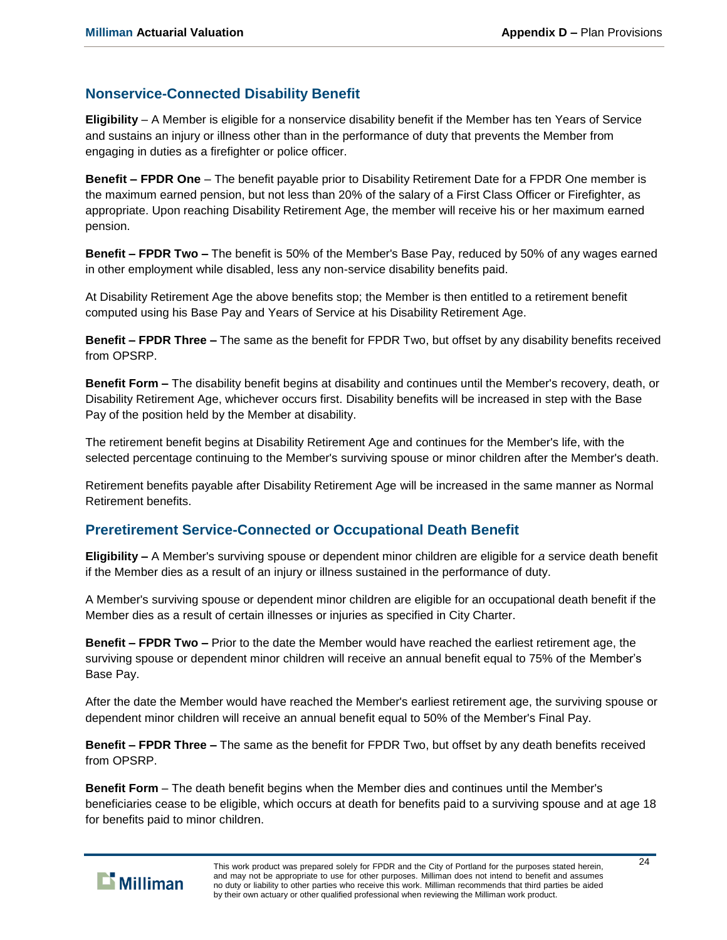#### **Nonservice-Connected Disability Benefit**

**Eligibility** – A Member is eligible for a nonservice disability benefit if the Member has ten Years of Service and sustains an injury or illness other than in the performance of duty that prevents the Member from engaging in duties as a firefighter or police officer.

**Benefit – FPDR One** – The benefit payable prior to Disability Retirement Date for a FPDR One member is the maximum earned pension, but not less than 20% of the salary of a First Class Officer or Firefighter, as appropriate. Upon reaching Disability Retirement Age, the member will receive his or her maximum earned pension.

**Benefit – FPDR Two –** The benefit is 50% of the Member's Base Pay, reduced by 50% of any wages earned in other employment while disabled, less any non-service disability benefits paid.

At Disability Retirement Age the above benefits stop; the Member is then entitled to a retirement benefit computed using his Base Pay and Years of Service at his Disability Retirement Age.

**Benefit – FPDR Three –** The same as the benefit for FPDR Two, but offset by any disability benefits received from OPSRP.

**Benefit Form –** The disability benefit begins at disability and continues until the Member's recovery, death, or Disability Retirement Age, whichever occurs first. Disability benefits will be increased in step with the Base Pay of the position held by the Member at disability.

The retirement benefit begins at Disability Retirement Age and continues for the Member's life, with the selected percentage continuing to the Member's surviving spouse or minor children after the Member's death.

Retirement benefits payable after Disability Retirement Age will be increased in the same manner as Normal Retirement benefits.

#### **Preretirement Service-Connected or Occupational Death Benefit**

**Eligibility –** A Member's surviving spouse or dependent minor children are eligible for *a* service death benefit if the Member dies as a result of an injury or illness sustained in the performance of duty.

A Member's surviving spouse or dependent minor children are eligible for an occupational death benefit if the Member dies as a result of certain illnesses or injuries as specified in City Charter.

**Benefit – FPDR Two –** Prior to the date the Member would have reached the earliest retirement age, the surviving spouse or dependent minor children will receive an annual benefit equal to 75% of the Member's Base Pay.

After the date the Member would have reached the Member's earliest retirement age, the surviving spouse or dependent minor children will receive an annual benefit equal to 50% of the Member's Final Pay.

**Benefit – FPDR Three –** The same as the benefit for FPDR Two, but offset by any death benefits received from OPSRP.

**Benefit Form** – The death benefit begins when the Member dies and continues until the Member's beneficiaries cease to be eligible, which occurs at death for benefits paid to a surviving spouse and at age 18 for benefits paid to minor children.

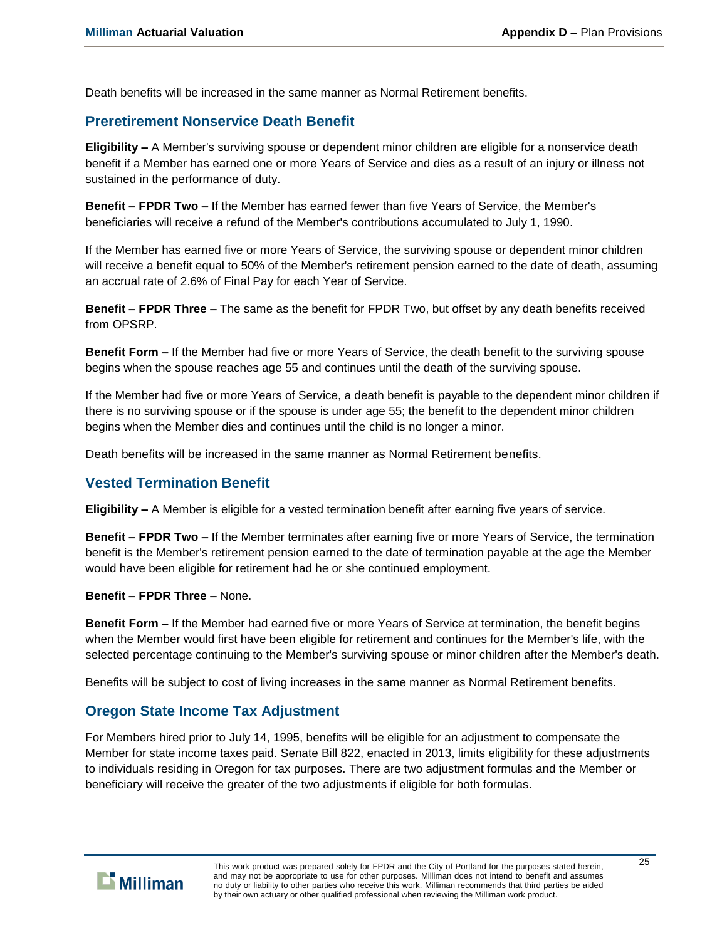Death benefits will be increased in the same manner as Normal Retirement benefits.

#### **Preretirement Nonservice Death Benefit**

**Eligibility –** A Member's surviving spouse or dependent minor children are eligible for a nonservice death benefit if a Member has earned one or more Years of Service and dies as a result of an injury or illness not sustained in the performance of duty.

**Benefit – FPDR Two –** If the Member has earned fewer than five Years of Service, the Member's beneficiaries will receive a refund of the Member's contributions accumulated to July 1, 1990.

If the Member has earned five or more Years of Service, the surviving spouse or dependent minor children will receive a benefit equal to 50% of the Member's retirement pension earned to the date of death, assuming an accrual rate of 2.6% of Final Pay for each Year of Service.

**Benefit – FPDR Three –** The same as the benefit for FPDR Two, but offset by any death benefits received from OPSRP.

**Benefit Form –** If the Member had five or more Years of Service, the death benefit to the surviving spouse begins when the spouse reaches age 55 and continues until the death of the surviving spouse.

If the Member had five or more Years of Service, a death benefit is payable to the dependent minor children if there is no surviving spouse or if the spouse is under age 55; the benefit to the dependent minor children begins when the Member dies and continues until the child is no longer a minor.

Death benefits will be increased in the same manner as Normal Retirement benefits.

## **Vested Termination Benefit**

**Eligibility –** A Member is eligible for a vested termination benefit after earning five years of service.

**Benefit – FPDR Two –** If the Member terminates after earning five or more Years of Service, the termination benefit is the Member's retirement pension earned to the date of termination payable at the age the Member would have been eligible for retirement had he or she continued employment.

**Benefit – FPDR Three –** None.

**Benefit Form –** If the Member had earned five or more Years of Service at termination, the benefit begins when the Member would first have been eligible for retirement and continues for the Member's life, with the selected percentage continuing to the Member's surviving spouse or minor children after the Member's death.

Benefits will be subject to cost of living increases in the same manner as Normal Retirement benefits.

#### **Oregon State Income Tax Adjustment**

For Members hired prior to July 14, 1995, benefits will be eligible for an adjustment to compensate the Member for state income taxes paid. Senate Bill 822, enacted in 2013, limits eligibility for these adjustments to individuals residing in Oregon for tax purposes. There are two adjustment formulas and the Member or beneficiary will receive the greater of the two adjustments if eligible for both formulas.

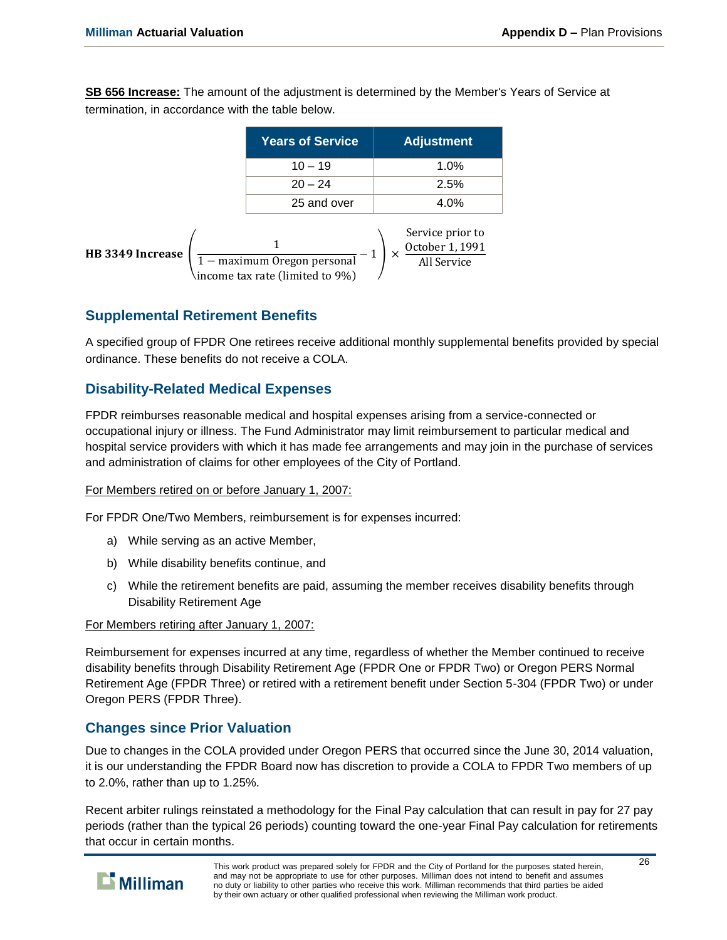**SB 656 Increase:** The amount of the adjustment is determined by the Member's Years of Service at termination, in accordance with the table below.

|                  | <b>Years of Service</b>                                                          | <b>Adjustment</b>                                  |
|------------------|----------------------------------------------------------------------------------|----------------------------------------------------|
|                  | $10 - 19$                                                                        | 1.0%                                               |
|                  | $20 - 24$                                                                        | 2.5%                                               |
|                  | 25 and over                                                                      | 4.0%                                               |
| HB 3349 Increase | $\boxed{1 - \text{maximum Oregon personal}}$<br>vincome tax rate (limited to 9%) | Service prior to<br>October 1, 1991<br>All Service |

## **Supplemental Retirement Benefits**

A specified group of FPDR One retirees receive additional monthly supplemental benefits provided by special ordinance. These benefits do not receive a COLA.

## **Disability-Related Medical Expenses**

FPDR reimburses reasonable medical and hospital expenses arising from a service-connected or occupational injury or illness. The Fund Administrator may limit reimbursement to particular medical and hospital service providers with which it has made fee arrangements and may join in the purchase of services and administration of claims for other employees of the City of Portland.

#### For Members retired on or before January 1, 2007:

For FPDR One/Two Members, reimbursement is for expenses incurred:

- a) While serving as an active Member,
- b) While disability benefits continue, and
- c) While the retirement benefits are paid, assuming the member receives disability benefits through Disability Retirement Age

#### For Members retiring after January 1, 2007:

Reimbursement for expenses incurred at any time, regardless of whether the Member continued to receive disability benefits through Disability Retirement Age (FPDR One or FPDR Two) or Oregon PERS Normal Retirement Age (FPDR Three) or retired with a retirement benefit under Section 5-304 (FPDR Two) or under Oregon PERS (FPDR Three).

## **Changes since Prior Valuation**

Due to changes in the COLA provided under Oregon PERS that occurred since the June 30, 2014 valuation, it is our understanding the FPDR Board now has discretion to provide a COLA to FPDR Two members of up to 2.0%, rather than up to 1.25%.

Recent arbiter rulings reinstated a methodology for the Final Pay calculation that can result in pay for 27 pay periods (rather than the typical 26 periods) counting toward the one-year Final Pay calculation for retirements that occur in certain months.

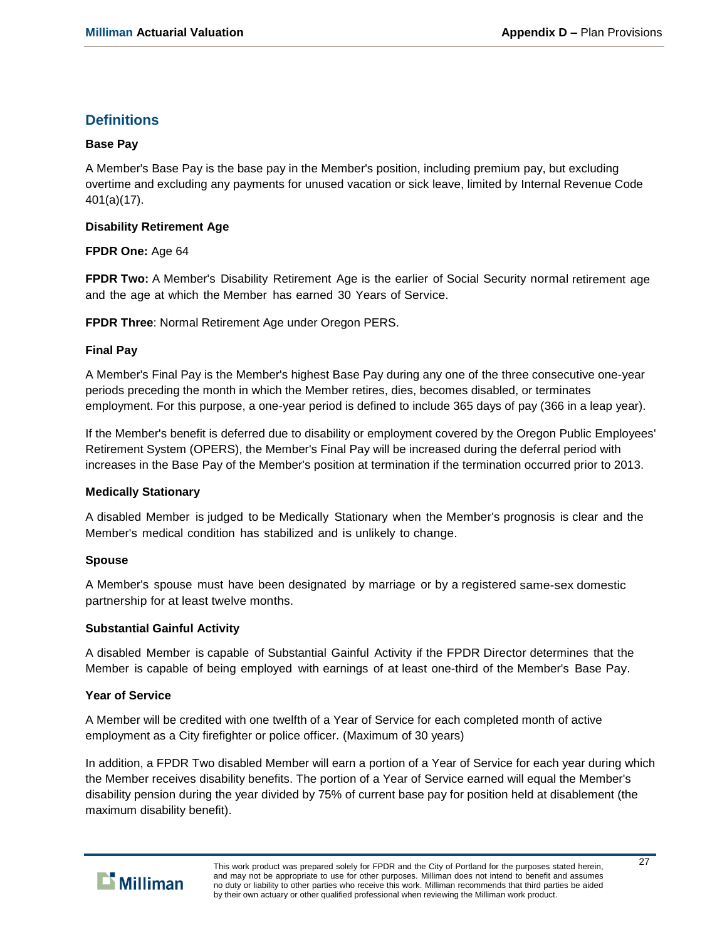## **Definitions**

#### **Base Pay**

A Member's Base Pay is the base pay in the Member's position, including premium pay, but excluding overtime and excluding any payments for unused vacation or sick leave, limited by Internal Revenue Code 401(a)(17).

#### **Disability Retirement Age**

#### **FPDR One:** Age 64

**FPDR Two:** A Member's Disability Retirement Age is the earlier of Social Security normal retirement age and the age at which the Member has earned 30 Years of Service.

**FPDR Three**: Normal Retirement Age under Oregon PERS.

#### **Final Pay**

A Member's Final Pay is the Member's highest Base Pay during any one of the three consecutive one-year periods preceding the month in which the Member retires, dies, becomes disabled, or terminates employment. For this purpose, a one-year period is defined to include 365 days of pay (366 in a leap year).

If the Member's benefit is deferred due to disability or employment covered by the Oregon Public Employees' Retirement System (OPERS), the Member's Final Pay will be increased during the deferral period with increases in the Base Pay of the Member's position at termination if the termination occurred prior to 2013.

#### **Medically Stationary**

A disabled Member is judged to be Medically Stationary when the Member's prognosis is clear and the Member's medical condition has stabilized and is unlikely to change.

#### **Spouse**

A Member's spouse must have been designated by marriage or by a registered same-sex domestic partnership for at least twelve months.

#### **Substantial Gainful Activity**

A disabled Member is capable of Substantial Gainful Activity if the FPDR Director determines that the Member is capable of being employed with earnings of at least one-third of the Member's Base Pay.

#### **Year of Service**

A Member will be credited with one twelfth of a Year of Service for each completed month of active employment as a City firefighter or police officer. (Maximum of 30 years)

In addition, a FPDR Two disabled Member will earn a portion of a Year of Service for each year during which the Member receives disability benefits. The portion of a Year of Service earned will equal the Member's disability pension during the year divided by 75% of current base pay for position held at disablement (the maximum disability benefit).

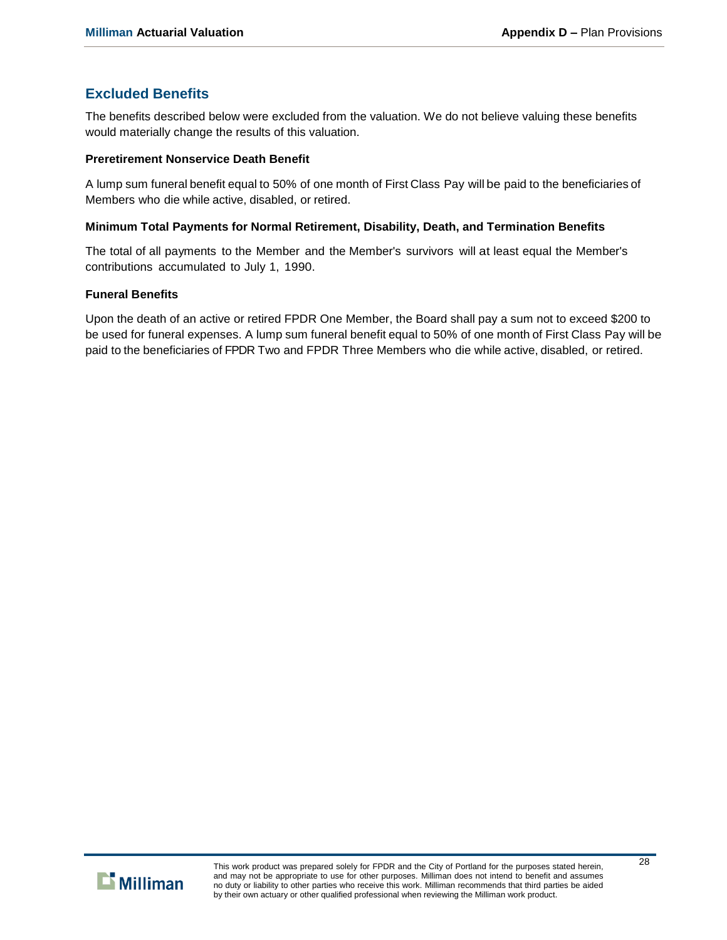## **Excluded Benefits**

The benefits described below were excluded from the valuation. We do not believe valuing these benefits would materially change the results of this valuation.

#### **Preretirement Nonservice Death Benefit**

A lump sum funeral benefit equal to 50% of one month of First Class Pay will be paid to the beneficiaries of Members who die while active, disabled, or retired.

#### **Minimum Total Payments for Normal Retirement, Disability, Death, and Termination Benefits**

The total of all payments to the Member and the Member's survivors will at least equal the Member's contributions accumulated to July 1, 1990.

#### **Funeral Benefits**

Upon the death of an active or retired FPDR One Member, the Board shall pay a sum not to exceed \$200 to be used for funeral expenses. A lump sum funeral benefit equal to 50% of one month of First Class Pay will be paid to the beneficiaries of FPDR Two and FPDR Three Members who die while active, disabled, or retired.

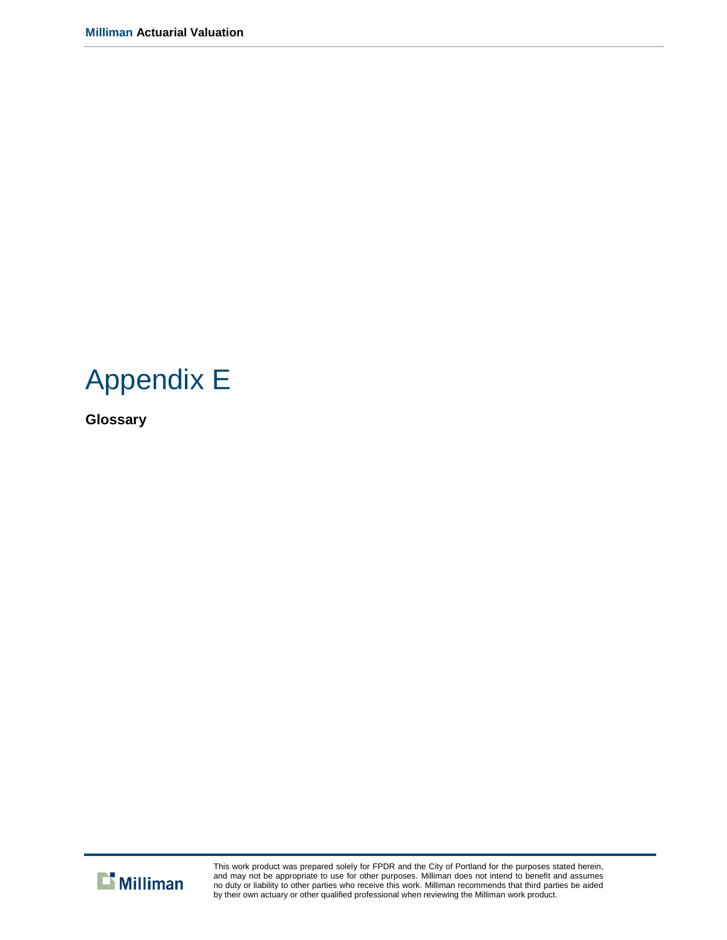

**Glossary**